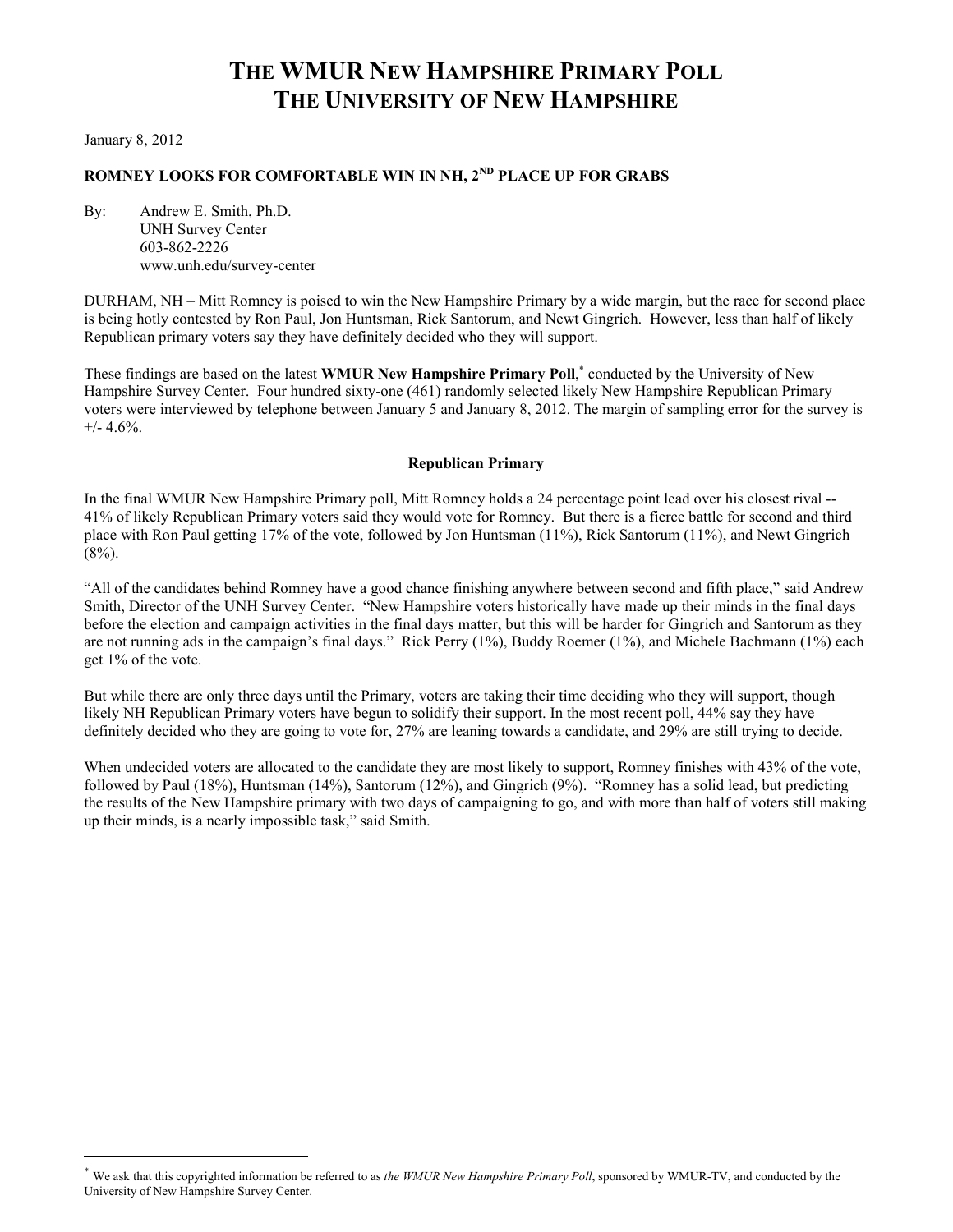# **THE WMUR NEW HAMPSHIRE PRIMARY POLL THE UNIVERSITY OF NEW HAMPSHIRE**

January 8, 2012

l

## **ROMNEY LOOKS FOR COMFORTABLE WIN IN NH, 2ND PLACE UP FOR GRABS**

By: Andrew E. Smith, Ph.D. UNH Survey Center 603-862-2226 www.unh.edu/survey-center

DURHAM, NH – Mitt Romney is poised to win the New Hampshire Primary by a wide margin, but the race for second place is being hotly contested by Ron Paul, Jon Huntsman, Rick Santorum, and Newt Gingrich. However, less than half of likely Republican primary voters say they have definitely decided who they will support.

These findings are based on the latest **WMUR New Hampshire Primary Poll**,<sup>\*</sup> conducted by the University of New Hampshire Survey Center. Four hundred sixty-one (461) randomly selected likely New Hampshire Republican Primary voters were interviewed by telephone between January 5 and January 8, 2012. The margin of sampling error for the survey is  $+/- 4.6%$ .

#### **Republican Primary**

In the final WMUR New Hampshire Primary poll, Mitt Romney holds a 24 percentage point lead over his closest rival -- 41% of likely Republican Primary voters said they would vote for Romney. But there is a fierce battle for second and third place with Ron Paul getting 17% of the vote, followed by Jon Huntsman (11%), Rick Santorum (11%), and Newt Gingrich  $(8\%)$ .

"All of the candidates behind Romney have a good chance finishing anywhere between second and fifth place," said Andrew Smith, Director of the UNH Survey Center. "New Hampshire voters historically have made up their minds in the final days before the election and campaign activities in the final days matter, but this will be harder for Gingrich and Santorum as they are not running ads in the campaign's final days." Rick Perry (1%), Buddy Roemer (1%), and Michele Bachmann (1%) each get 1% of the vote.

But while there are only three days until the Primary, voters are taking their time deciding who they will support, though likely NH Republican Primary voters have begun to solidify their support. In the most recent poll, 44% say they have definitely decided who they are going to vote for, 27% are leaning towards a candidate, and 29% are still trying to decide.

When undecided voters are allocated to the candidate they are most likely to support, Romney finishes with 43% of the vote, followed by Paul (18%), Huntsman (14%), Santorum (12%), and Gingrich (9%). "Romney has a solid lead, but predicting the results of the New Hampshire primary with two days of campaigning to go, and with more than half of voters still making up their minds, is a nearly impossible task," said Smith.

We ask that this copyrighted information be referred to as *the WMUR New Hampshire Primary Poll*, sponsored by WMUR-TV, and conducted by the University of New Hampshire Survey Center.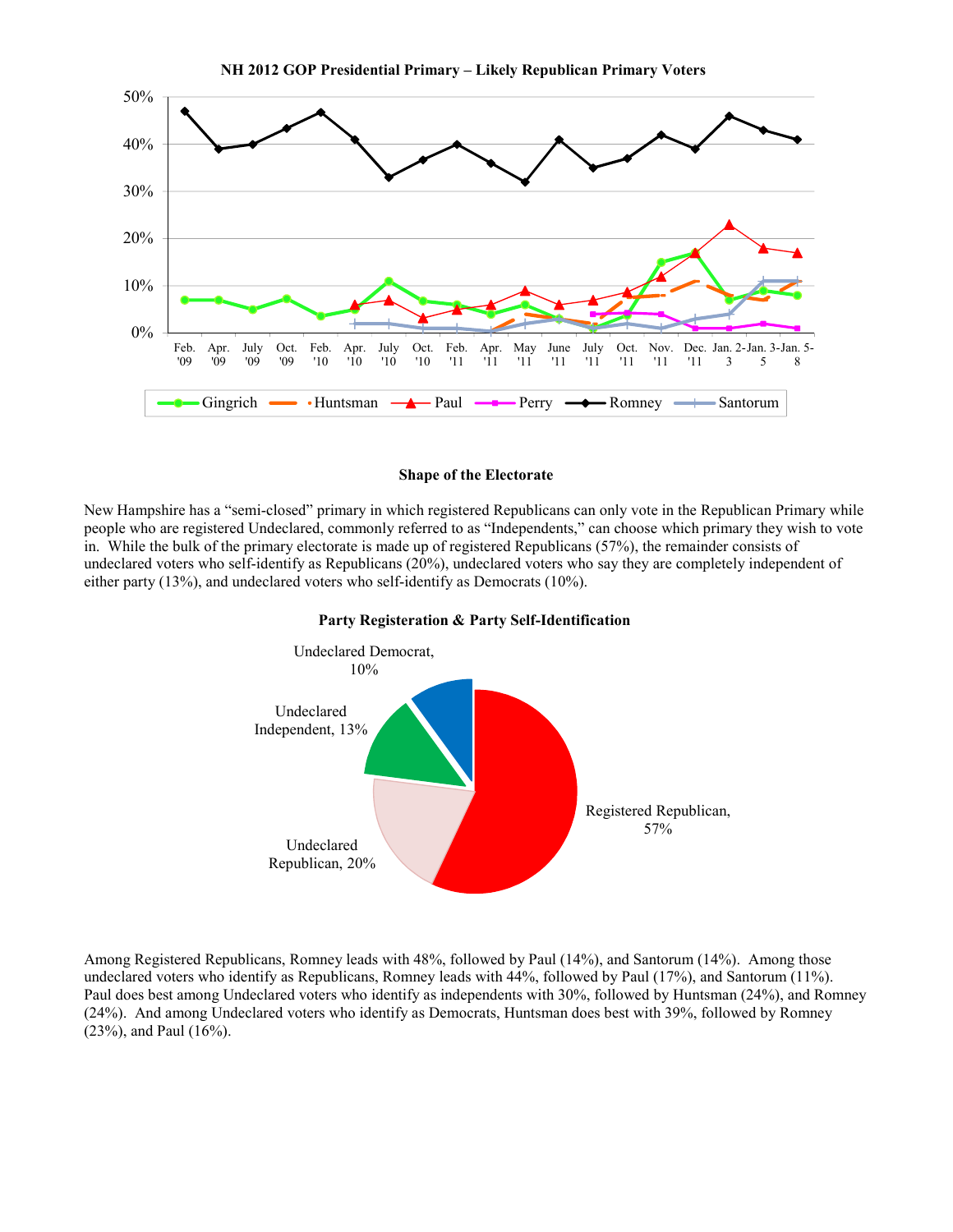

#### **Shape of the Electorate**

New Hampshire has a "semi-closed" primary in which registered Republicans can only vote in the Republican Primary while people who are registered Undeclared, commonly referred to as "Independents," can choose which primary they wish to vote in. While the bulk of the primary electorate is made up of registered Republicans (57%), the remainder consists of undeclared voters who self-identify as Republicans (20%), undeclared voters who say they are completely independent of either party (13%), and undeclared voters who self-identify as Democrats (10%).





Among Registered Republicans, Romney leads with 48%, followed by Paul (14%), and Santorum (14%). Among those undeclared voters who identify as Republicans, Romney leads with 44%, followed by Paul (17%), and Santorum (11%). Paul does best among Undeclared voters who identify as independents with 30%, followed by Huntsman (24%), and Romney (24%). And among Undeclared voters who identify as Democrats, Huntsman does best with 39%, followed by Romney (23%), and Paul (16%).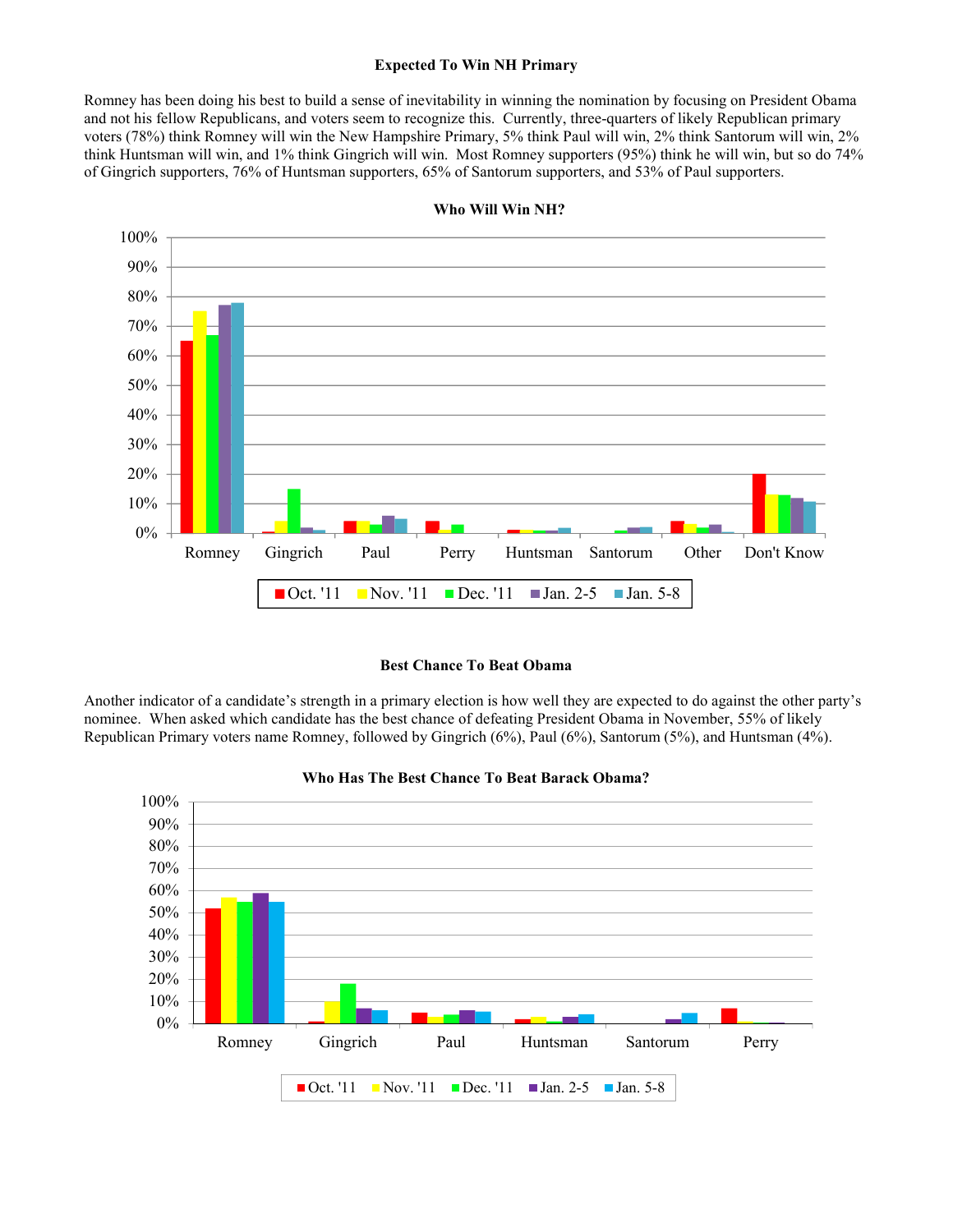### **Expected To Win NH Primary**

Romney has been doing his best to build a sense of inevitability in winning the nomination by focusing on President Obama and not his fellow Republicans, and voters seem to recognize this. Currently, three-quarters of likely Republican primary voters (78%) think Romney will win the New Hampshire Primary, 5% think Paul will win, 2% think Santorum will win, 2% think Huntsman will win, and 1% think Gingrich will win. Most Romney supporters (95%) think he will win, but so do 74% of Gingrich supporters, 76% of Huntsman supporters, 65% of Santorum supporters, and 53% of Paul supporters.



**Who Will Win NH?** 

#### **Best Chance To Beat Obama**

Another indicator of a candidate's strength in a primary election is how well they are expected to do against the other party's nominee. When asked which candidate has the best chance of defeating President Obama in November, 55% of likely Republican Primary voters name Romney, followed by Gingrich (6%), Paul (6%), Santorum (5%), and Huntsman (4%).



#### **Who Has The Best Chance To Beat Barack Obama?**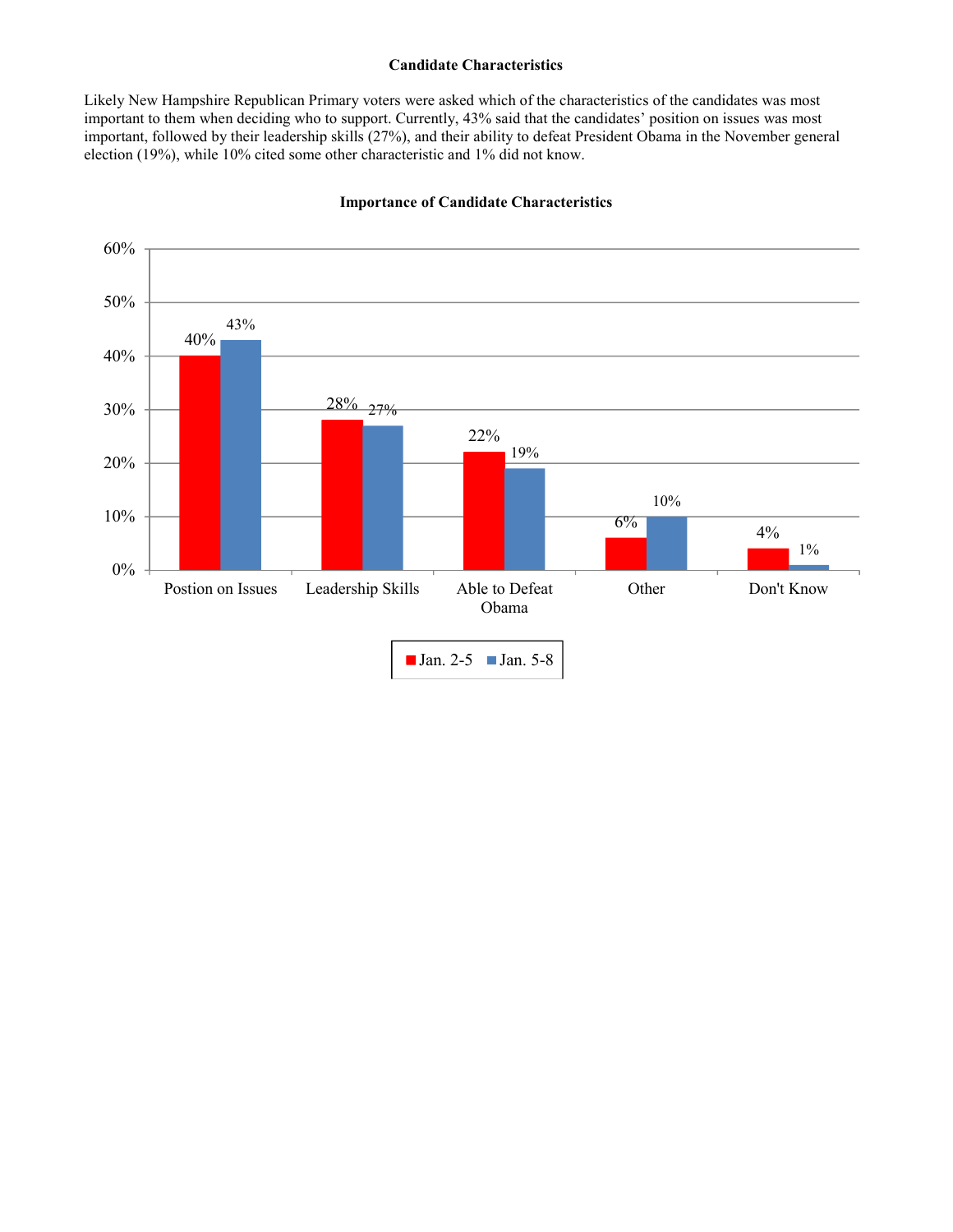## **Candidate Characteristics**

Likely New Hampshire Republican Primary voters were asked which of the characteristics of the candidates was most important to them when deciding who to support. Currently, 43% said that the candidates' position on issues was most important, followed by their leadership skills (27%), and their ability to defeat President Obama in the November general election (19%), while 10% cited some other characteristic and 1% did not know.



## **Importance of Candidate Characteristics**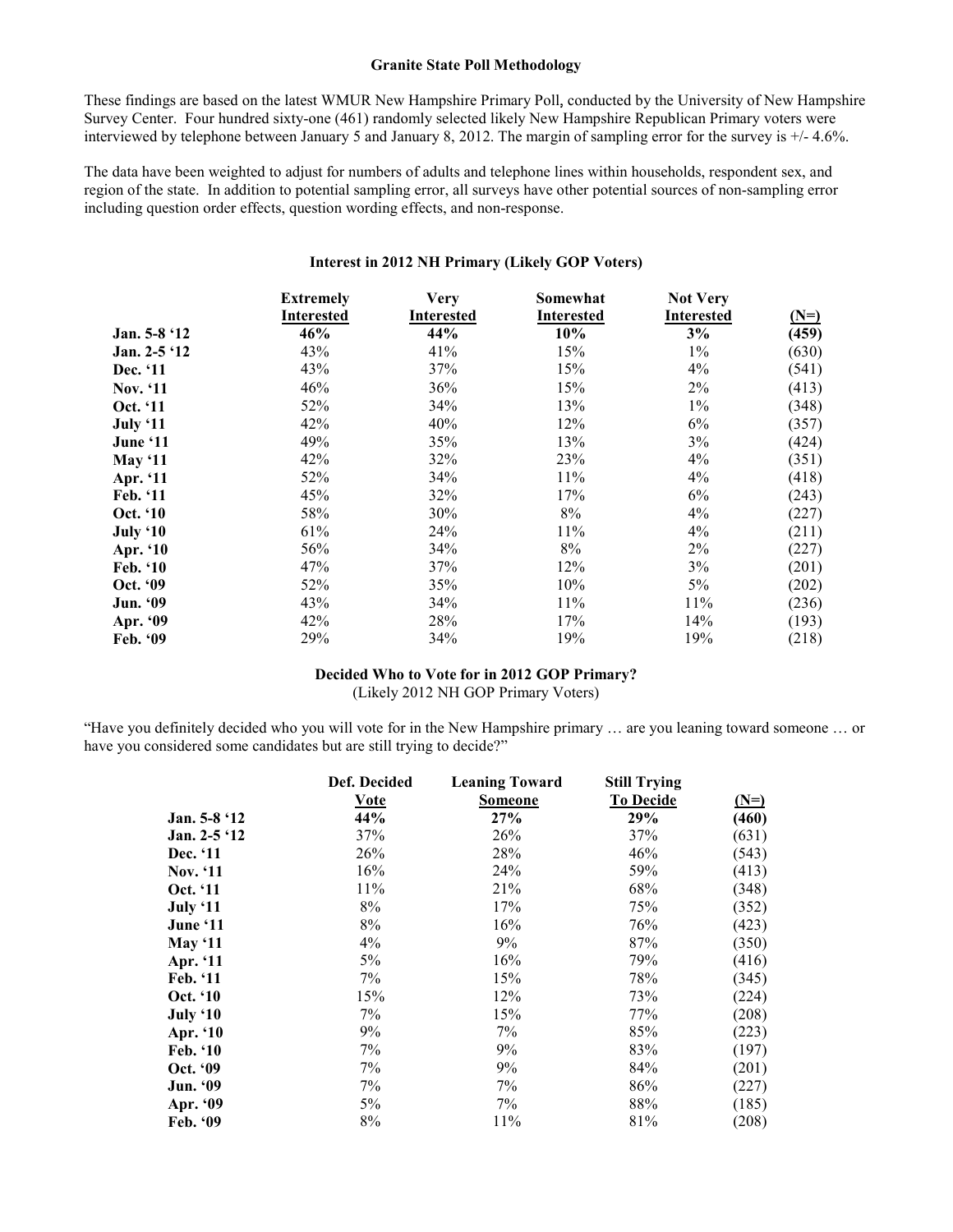#### **Granite State Poll Methodology**

These findings are based on the latest WMUR New Hampshire Primary Poll, conducted by the University of New Hampshire Survey Center. Four hundred sixty-one (461) randomly selected likely New Hampshire Republican Primary voters were interviewed by telephone between January 5 and January 8, 2012. The margin of sampling error for the survey is +/- 4.6%.

The data have been weighted to adjust for numbers of adults and telephone lines within households, respondent sex, and region of the state. In addition to potential sampling error, all surveys have other potential sources of non-sampling error including question order effects, question wording effects, and non-response.

## **Interest in 2012 NH Primary (Likely GOP Voters)**

|                 | <b>Extremely</b><br><b>Interested</b> | <b>Very</b><br><b>Interested</b> | Somewhat<br><b>Interested</b> | <b>Not Very</b><br><b>Interested</b> | $(N=)$ |
|-----------------|---------------------------------------|----------------------------------|-------------------------------|--------------------------------------|--------|
| Jan. 5-8 '12    | 46%                                   | 44%                              | 10%                           | 3%                                   | (459)  |
| Jan. $2-5$ '12  | 43%                                   | 41%                              | 15%                           | $1\%$                                | (630)  |
| Dec. '11        | 43%                                   | 37%                              | 15%                           | $4\%$                                | (541)  |
| <b>Nov.</b> '11 | 46%                                   | 36%                              | 15%                           | $2\%$                                | (413)  |
| Oct. '11        | 52%                                   | 34%                              | 13%                           | $1\%$                                | (348)  |
| July '11        | 42%                                   | 40%                              | 12%                           | 6%                                   | (357)  |
| June '11        | 49%                                   | 35%                              | 13%                           | 3%                                   | (424)  |
| May '11         | 42%                                   | 32%                              | 23%                           | $4\%$                                | (351)  |
| Apr. '11        | 52%                                   | 34%                              | 11%                           | 4%                                   | (418)  |
| Feb. '11        | 45%                                   | 32%                              | 17%                           | 6%                                   | (243)  |
| Oct. '10        | 58%                                   | 30%                              | 8%                            | $4\%$                                | (227)  |
| July '10        | 61%                                   | 24%                              | 11%                           | $4\%$                                | (211)  |
| Apr. '10        | 56%                                   | 34%                              | 8%                            | $2\%$                                | (227)  |
| Feb. '10        | 47%                                   | 37%                              | 12%                           | 3%                                   | (201)  |
| Oct. '09        | 52%                                   | 35%                              | 10%                           | 5%                                   | (202)  |
| Jun. '09        | 43%                                   | 34%                              | 11%                           | 11%                                  | (236)  |
| Apr. '09        | 42%                                   | 28%                              | 17%                           | 14%                                  | (193)  |
| Feb. '09        | 29%                                   | 34%                              | 19%                           | 19%                                  | (218)  |

## **Decided Who to Vote for in 2012 GOP Primary?**  (Likely 2012 NH GOP Primary Voters)

"Have you definitely decided who you will vote for in the New Hampshire primary … are you leaning toward someone … or have you considered some candidates but are still trying to decide?"

|                 | Def. Decided | <b>Leaning Toward</b> | <b>Still Trying</b> |        |
|-----------------|--------------|-----------------------|---------------------|--------|
|                 | <b>Vote</b>  | <b>Someone</b>        | <b>To Decide</b>    | $(N=)$ |
| Jan. 5-8 '12    | 44%          | 27%                   | 29%                 | (460)  |
| Jan. 2-5 '12    | 37%          | 26%                   | 37%                 | (631)  |
| Dec. '11        | 26%          | 28%                   | 46%                 | (543)  |
| <b>Nov.</b> '11 | 16%          | 24%                   | 59%                 | (413)  |
| Oct. '11        | 11%          | 21%                   | 68%                 | (348)  |
| July '11        | 8%           | 17%                   | 75%                 | (352)  |
| June '11        | 8%           | 16%                   | 76%                 | (423)  |
| May $`11$       | 4%           | 9%                    | 87%                 | (350)  |
| Apr. '11        | 5%           | 16%                   | 79%                 | (416)  |
| Feb. '11        | 7%           | 15%                   | 78%                 | (345)  |
| Oct. '10        | 15%          | 12%                   | 73%                 | (224)  |
| July '10        | 7%           | 15%                   | 77%                 | (208)  |
| Apr. '10        | 9%           | 7%                    | 85%                 | (223)  |
| <b>Feb.</b> '10 | 7%           | 9%                    | 83%                 | (197)  |
| Oct. '09        | 7%           | 9%                    | 84%                 | (201)  |
| Jun. '09        | 7%           | 7%                    | 86%                 | (227)  |
| Apr. '09        | 5%           | 7%                    | 88%                 | (185)  |
| Feb. '09        | 8%           | 11%                   | 81%                 | (208)  |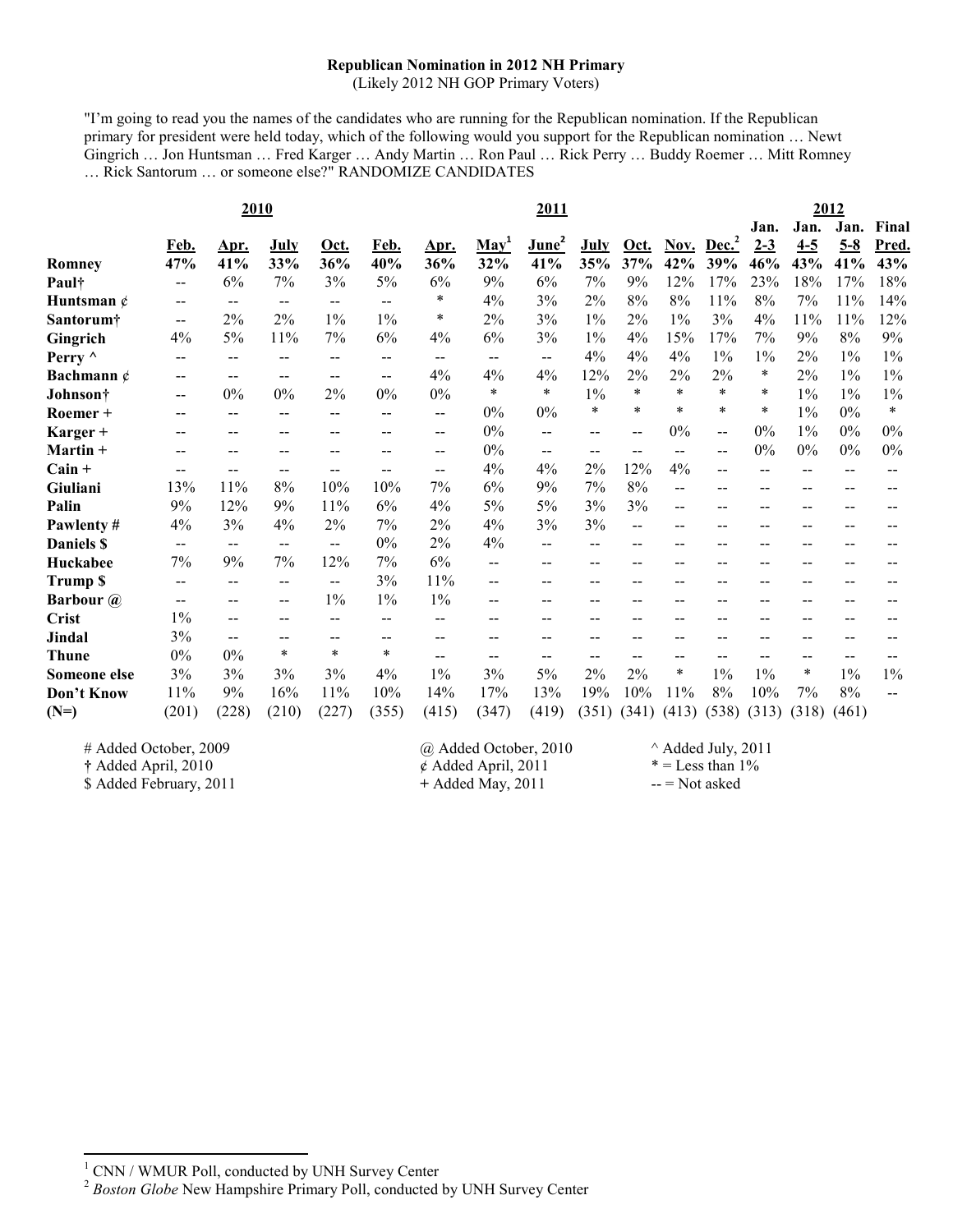## **Republican Nomination in 2012 NH Primary**

(Likely 2012 NH GOP Primary Voters)

"I'm going to read you the names of the candidates who are running for the Republican nomination. If the Republican primary for president were held today, which of the following would you support for the Republican nomination … Newt Gingrich … Jon Huntsman … Fred Karger … Andy Martin … Ron Paul … Rick Perry … Buddy Roemer … Mitt Romney … Rick Santorum … or someone else?" RANDOMIZE CANDIDATES

|                  |                                       |                          | 2010              |                   | 2011              |                          |                          |                          |                   |        | 2012   |                          |         |                          |         |        |
|------------------|---------------------------------------|--------------------------|-------------------|-------------------|-------------------|--------------------------|--------------------------|--------------------------|-------------------|--------|--------|--------------------------|---------|--------------------------|---------|--------|
|                  |                                       |                          |                   |                   |                   |                          |                          |                          |                   |        |        |                          | Jan.    | Jan.                     | Jan.    | Final  |
|                  | Feb.                                  | Apr.                     | July              | Oct.              | Feb.              | <u>Apr.</u>              | $\mathbf{May}^1$         | June <sup>2</sup>        | <b>July</b>       | Oct.   |        | Nov. Dec. <sup>2</sup>   | $2 - 3$ | $4 - 5$                  | $5 - 8$ | Pred.  |
| <b>Romney</b>    | 47%                                   | 41%                      | 33%               | 36%               | 40%               | 36%                      | 32%                      | 41%                      | 35%               | 37%    | 42%    | 39%                      | 46%     | 43%                      | 41%     | 43%    |
| Paul†            | $\overline{\phantom{m}}$              | 6%                       | 7%                | 3%                | 5%                | 6%                       | 9%                       | 6%                       | 7%                | 9%     | 12%    | 17%                      | 23%     | 18%                      | 17%     | 18%    |
| Huntsman $\phi$  | $- -$                                 | $\overline{\phantom{m}}$ | $\qquad \qquad -$ | $\qquad \qquad -$ | $\sim$ $-$        | *                        | 4%                       | 3%                       | 2%                | $8\%$  | 8%     | 11%                      | 8%      | 7%                       | 11%     | 14%    |
| Santorum†        | $\mathbf{u}$                          | 2%                       | 2%                | $1\%$             | 1%                | $\ast$                   | 2%                       | 3%                       | $1\%$             | 2%     | $1\%$  | 3%                       | 4%      | 11%                      | 11%     | 12%    |
| Gingrich         | 4%                                    | 5%                       | 11%               | 7%                | 6%                | 4%                       | 6%                       | 3%                       | 1%                | 4%     | 15%    | 17%                      | 7%      | 9%                       | $8\%$   | 9%     |
| Perry $\wedge$   | $- -$                                 | $\overline{\phantom{m}}$ | --                | $- -$             | $\qquad \qquad -$ | $\overline{\phantom{m}}$ | $\overline{\phantom{m}}$ | $\overline{\phantom{a}}$ | 4%                | 4%     | 4%     | $1\%$                    | $1\%$   | 2%                       | $1\%$   | $1\%$  |
| Bachmann $\phi$  |                                       | $-$                      |                   | --                | $\sim$ $\sim$     | 4%                       | 4%                       | 4%                       | 12%               | 2%     | 2%     | 2%                       | $\ast$  | 2%                       | $1\%$   | $1\%$  |
| Johnson†         | $\overline{\phantom{m}}$              | $0\%$                    | 0%                | 2%                | 0%                | $0\%$                    | *                        | $\ast$                   | $1\%$             | $\ast$ | $\ast$ | *                        | $\ast$  | $1\%$                    | $1\%$   | $1\%$  |
| Roemer +         | $-$                                   | $\qquad \qquad -$        | --                | --                | $\sim$ $\sim$     | --                       | 0%                       | $0\%$                    | $\ast$            | $\ast$ | $\ast$ | $\ast$                   | $\ast$  | $1\%$                    | $0\%$   | $\ast$ |
| Karger +         |                                       |                          |                   |                   |                   | --                       | $0\%$                    | $\overline{\phantom{a}}$ | $\qquad \qquad -$ | --     | 0%     | $\overline{\phantom{m}}$ | $0\%$   | $1\%$                    | 0%      | $0\%$  |
| Martin +         |                                       | $- -$                    |                   |                   |                   | --                       | 0%                       | $\overline{\phantom{a}}$ | $\qquad \qquad -$ | --     | --     | $-$                      | $0\%$   | 0%                       | 0%      | $0\%$  |
| $Cain +$         | $- -$                                 |                          |                   |                   | --                | --                       | 4%                       | 4%                       | $2\%$             | 12%    | 4%     | $-$                      | --      | $\overline{\phantom{a}}$ | $-$     |        |
| Giuliani         | 13%                                   | 11%                      | 8%                | 10%               | 10%               | 7%                       | 6%                       | 9%                       | 7%                | 8%     | $-$    | --                       | --      | --                       |         |        |
| Palin            | 9%                                    | 12%                      | 9%                | 11%               | 6%                | 4%                       | 5%                       | 5%                       | 3%                | 3%     |        | $- -$                    |         |                          |         |        |
| Pawlenty#        | 4%                                    | 3%                       | 4%                | 2%                | 7%                | 2%                       | 4%                       | 3%                       | 3%                | --     |        | --                       | --      | --                       |         |        |
| Daniels \$       | $\hspace{0.05cm}$ – $\hspace{0.05cm}$ | $\overline{\phantom{a}}$ | $-$               | $-$               | 0%                | 2%                       | 4%                       | $\overline{\phantom{a}}$ | --                |        |        | --                       | --      | --                       | $- -$   |        |
| Huckabee         | 7%                                    | 9%                       | 7%                | 12%               | 7%                | 6%                       | $-$                      | --                       |                   |        |        |                          |         |                          |         |        |
| <b>Trump \$</b>  | $-$                                   | $-$                      | --                | $-$               | 3%                | 11%                      | $-$                      | $-$                      | --                |        |        |                          |         |                          |         |        |
| <b>Barbour</b> @ |                                       | $- -$                    | $-1$              | $1\%$             | 1%                | $1\%$                    |                          | --                       |                   |        |        |                          |         |                          |         |        |
| <b>Crist</b>     | $1\%$                                 | $-$                      |                   | --                | --                | --                       |                          | --                       |                   |        |        |                          |         |                          |         |        |
| <b>Jindal</b>    | 3%                                    | --                       |                   | $-1$              | --                | --                       |                          |                          |                   |        |        |                          |         |                          |         |        |
| <b>Thune</b>     | 0%                                    | $0\%$                    | $\ast$            | $\ast$            | $\ast$            | --                       | $- -$                    | $-$                      | --                | --     |        | $-1$                     | --      | --                       | $-$     |        |
| Someone else     | 3%                                    | 3%                       | 3%                | 3%                | 4%                | $1\%$                    | 3%                       | 5%                       | 2%                | $2\%$  | $\ast$ | $1\%$                    | $1\%$   | $\ast$                   | $1\%$   | $1\%$  |
| Don't Know       | 11%                                   | 9%                       | 16%               | 11%               | 10%               | 14%                      | 17%                      | 13%                      | 19%               | 10%    | 11%    | 8%                       | 10%     | 7%                       | 8%      | --     |
| $(N=)$           | (201)                                 | (228)                    | (210)             | (227)             | (355)             | (415)                    | (347)                    | (419)                    | (351)             | (341)  | (413)  | (538)                    | (313)   | (318)                    | (461)   |        |

l

\$ Added February, 2011

# Added October, 2009  $\qquad \qquad \textcircled{2}$  Added October, 2010  $\qquad \qquad \wedge$  Added July, 2011  $\qquad \qquad \wedge$  Added April, 2011  $\qquad \qquad \qquad \wedge$  Eless than 1% **†** Added April, 2010  $\acute{\phi}$  Added April, 2011  $* =$  Less than 1<br>  $*$  Added February, 2011  $*$  Added May, 2011  $*$  = Not asked

1 CNN / WMUR Poll, conducted by UNH Survey Center

<sup>&</sup>lt;sup>2</sup> Boston Globe New Hampshire Primary Poll, conducted by UNH Survey Center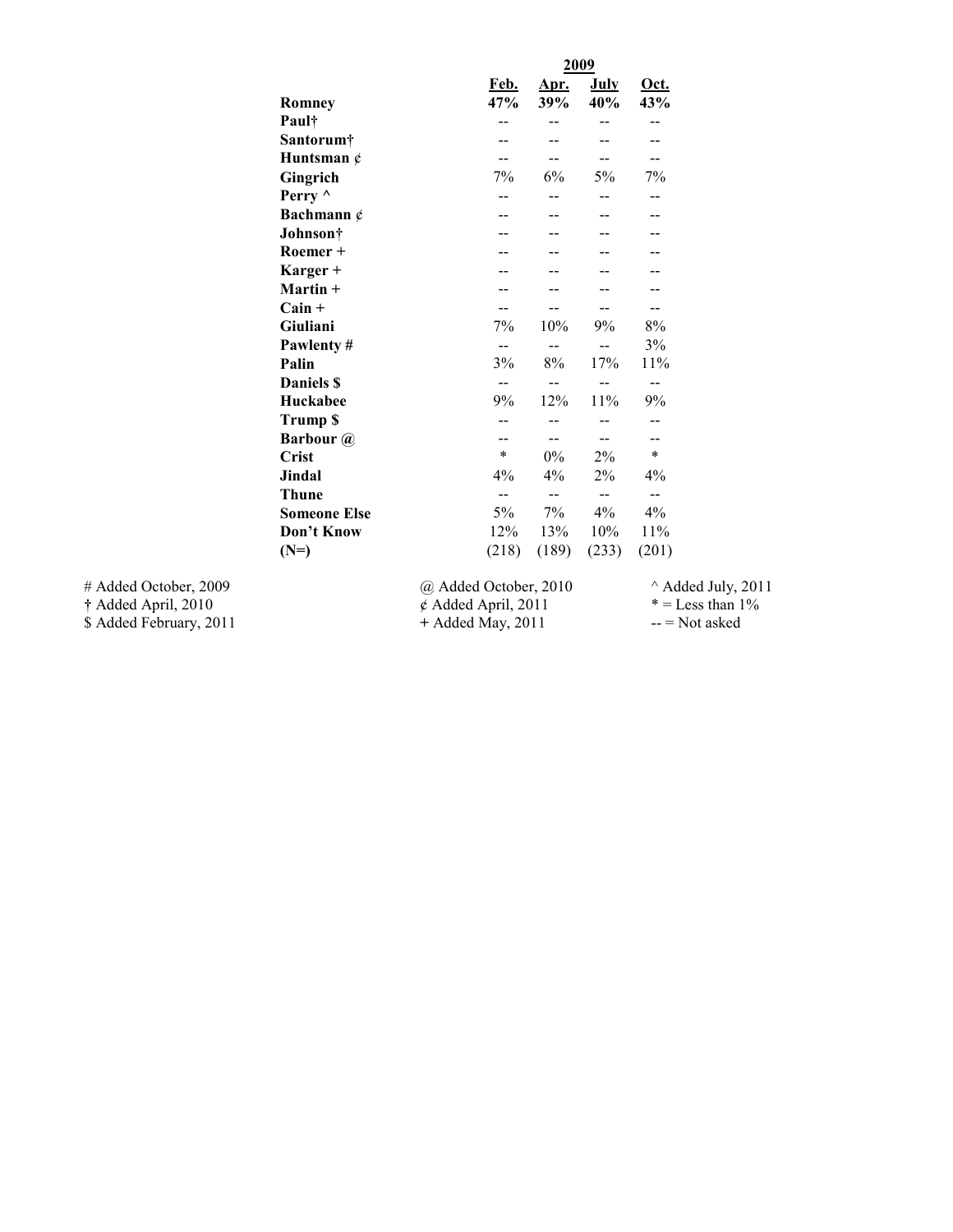|                         |                      |                          | 2009                     |             |                              |
|-------------------------|----------------------|--------------------------|--------------------------|-------------|------------------------------|
|                         |                      | Feb.                     | Apr.                     | <u>July</u> | Oct.                         |
|                         | Romney               | 47%                      | 39%                      | 40%         | 43%                          |
|                         | Paul†                | --                       | --                       | --          | --                           |
|                         | Santorum†            | --                       | --                       | --          | --                           |
|                         | Huntsman $\phi$      | --                       | $-$                      | $- -$       | --                           |
|                         | Gingrich             | 7%                       | 6%                       | 5%          | 7%                           |
|                         | Perry $\wedge$       | $-$                      | $-$                      | $-$         | $-$                          |
|                         | Bachmann $\phi$      |                          |                          |             |                              |
|                         | Johnson <sup>†</sup> |                          |                          |             |                              |
|                         | Roemer +             |                          |                          |             |                              |
|                         | Karger +             |                          |                          |             |                              |
|                         | $Martin +$           |                          |                          |             |                              |
|                         | $Cain +$             | --                       | --                       | $- -$       | $-$                          |
|                         | Giuliani             | 7%                       | 10%                      | 9%          | 8%                           |
|                         | Pawlenty#            | --                       | $\overline{\phantom{m}}$ | $- -$       | 3%                           |
|                         | Palin                | 3%                       | 8%                       | 17%         | 11%                          |
|                         | <b>Daniels \$</b>    | --                       | $\overline{\phantom{a}}$ | --          | $\overline{\phantom{m}}$     |
|                         | Huckabee             | 9%                       | 12%                      | 11%         | 9%                           |
|                         | <b>Trump \$</b>      | --                       | --                       | --          | --                           |
|                         | <b>Barbour</b> @     | --                       | $- -$                    | $- -$       | --                           |
|                         | <b>Crist</b>         | $\ast$                   | $0\%$                    | 2%          | $\ast$                       |
|                         | <b>Jindal</b>        | 4%                       | 4%                       | 2%          | 4%                           |
|                         | <b>Thune</b>         | --                       | --                       | --          | $- -$                        |
|                         | <b>Someone Else</b>  | 5%                       | 7%                       | $4\%$       | 4%                           |
|                         | Don't Know           | 12%                      | 13%                      | 10%         | 11%                          |
|                         | $(N=)$               | (218)                    | (189)                    | (233)       | (201)                        |
| # Added October, 2009   |                      | @ Added October, 2010    |                          |             | $^{\wedge}$ Added July, 2011 |
| † Added April, 2010     |                      | $\phi$ Added April, 2011 |                          |             | $* =$ Less than 1%           |
| \$ Added February, 2011 |                      | $+$ Added May, 2011      |                          |             | $-$ = Not asked              |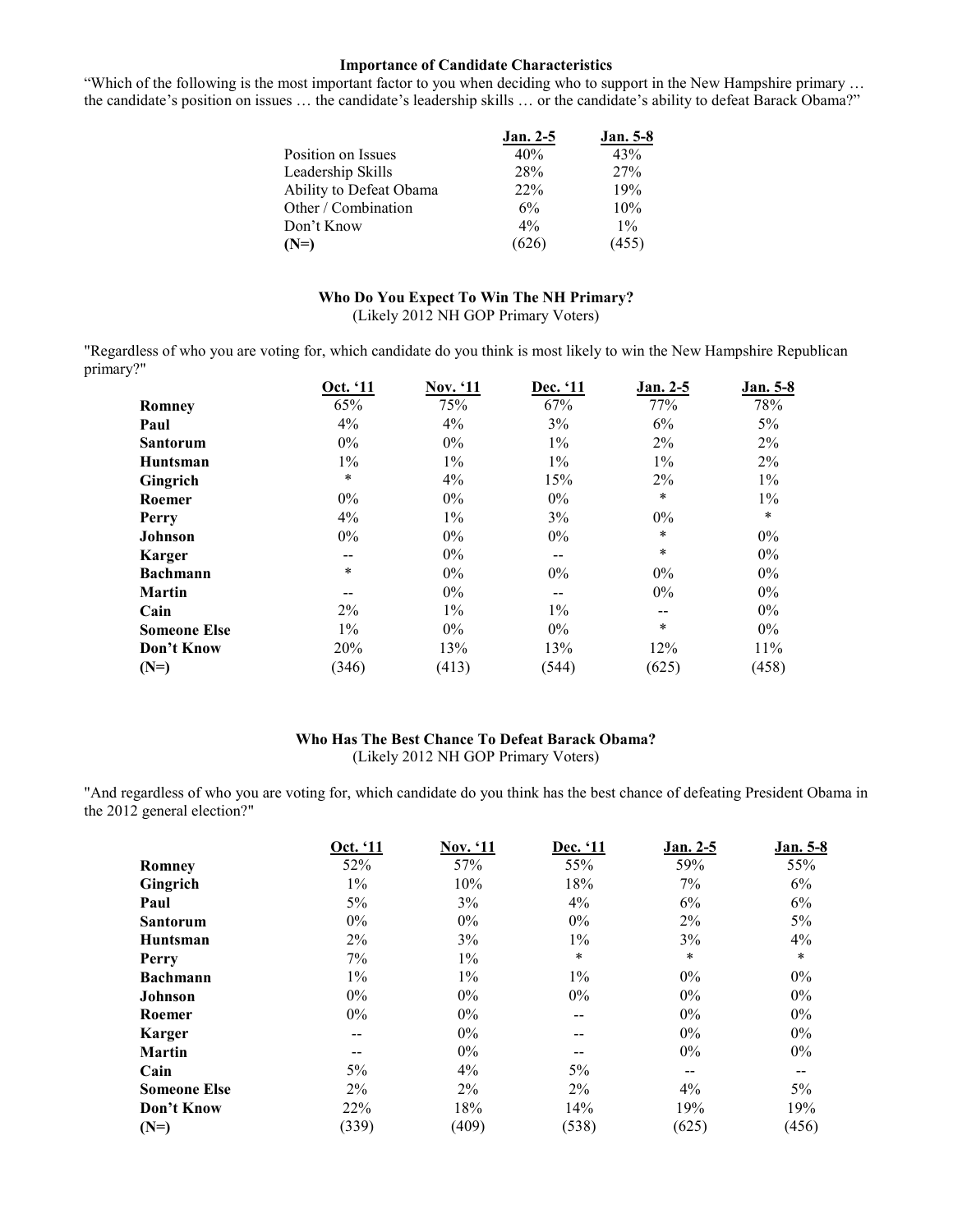#### **Importance of Candidate Characteristics**

"Which of the following is the most important factor to you when deciding who to support in the New Hampshire primary … the candidate's position on issues … the candidate's leadership skills … or the candidate's ability to defeat Barack Obama?"

|                         | <b>Jan. 2-5</b> | <b>Jan.</b> 5-8 |
|-------------------------|-----------------|-----------------|
| Position on Issues      | 40%             | 43%             |
| Leadership Skills       | 28%             | 27%             |
| Ability to Defeat Obama | 22%             | 19%             |
| Other / Combination     | 6%              | 10%             |
| Don't Know              | $4\%$           | $1\%$           |
| $(N=)$                  | (626)           | (455)           |

## **Who Do You Expect To Win The NH Primary?**

(Likely 2012 NH GOP Primary Voters)

"Regardless of who you are voting for, which candidate do you think is most likely to win the New Hampshire Republican primary?"

|                     | Oct. '11 | <b>Nov. '11</b> | Dec. '11 | Jan. 2-5 | <b>Jan.</b> 5-8 |
|---------------------|----------|-----------------|----------|----------|-----------------|
| Romney              | 65%      | 75%             | 67%      | 77%      | 78%             |
| Paul                | 4%       | 4%              | 3%       | 6%       | $5\%$           |
| <b>Santorum</b>     | $0\%$    | $0\%$           | $1\%$    | 2%       | 2%              |
| <b>Huntsman</b>     | $1\%$    | $1\%$           | $1\%$    | $1\%$    | 2%              |
| Gingrich            | $\ast$   | 4%              | 15%      | 2%       | $1\%$           |
| Roemer              | $0\%$    | $0\%$           | $0\%$    | $\ast$   | $1\%$           |
| Perry               | 4%       | $1\%$           | 3%       | $0\%$    | $\ast$          |
| Johnson             | $0\%$    | $0\%$           | $0\%$    | $\ast$   | $0\%$           |
| <b>Karger</b>       | --       | $0\%$           | $- -$    | $\ast$   | $0\%$           |
| <b>Bachmann</b>     | $\ast$   | $0\%$           | $0\%$    | $0\%$    | $0\%$           |
| <b>Martin</b>       | --       | $0\%$           | --       | $0\%$    | $0\%$           |
| Cain                | $2\%$    | $1\%$           | $1\%$    | $- -$    | $0\%$           |
| <b>Someone Else</b> | $1\%$    | $0\%$           | $0\%$    | $\ast$   | $0\%$           |
| Don't Know          | 20%      | 13%             | 13%      | 12%      | 11%             |
| $(N=)$              | (346)    | (413)           | (544)    | (625)    | (458)           |

## **Who Has The Best Chance To Defeat Barack Obama?**  (Likely 2012 NH GOP Primary Voters)

"And regardless of who you are voting for, which candidate do you think has the best chance of defeating President Obama in the 2012 general election?"

|                     | Oct. '11 | <b>Nov.</b> '11 | Dec. '11 | <b>Jan. 2-5</b> | <b>Jan.</b> 5-8 |
|---------------------|----------|-----------------|----------|-----------------|-----------------|
| Romney              | 52%      | 57%             | 55%      | 59%             | 55%             |
| Gingrich            | $1\%$    | 10%             | 18%      | 7%              | 6%              |
| Paul                | 5%       | 3%              | 4%       | 6%              | 6%              |
| <b>Santorum</b>     | $0\%$    | $0\%$           | $0\%$    | $2\%$           | $5\%$           |
| Huntsman            | 2%       | 3%              | $1\%$    | 3%              | 4%              |
| Perry               | 7%       | $1\%$           | $\ast$   | $\ast$          | $\star$         |
| <b>Bachmann</b>     | $1\%$    | $1\%$           | $1\%$    | $0\%$           | $0\%$           |
| Johnson             | $0\%$    | $0\%$           | $0\%$    | $0\%$           | $0\%$           |
| Roemer              | 0%       | $0\%$           | $- -$    | $0\%$           | $0\%$           |
| <b>Karger</b>       |          | $0\%$           | --       | $0\%$           | $0\%$           |
| <b>Martin</b>       |          | $0\%$           |          | $0\%$           | $0\%$           |
| Cain                | $5\%$    | 4%              | 5%       | --              | $- -$           |
| <b>Someone Else</b> | $2\%$    | $2\%$           | $2\%$    | 4%              | 5%              |
| Don't Know          | 22%      | 18%             | 14%      | 19%             | 19%             |
| $(N=)$              | (339)    | (409)           | (538)    | (625)           | (456)           |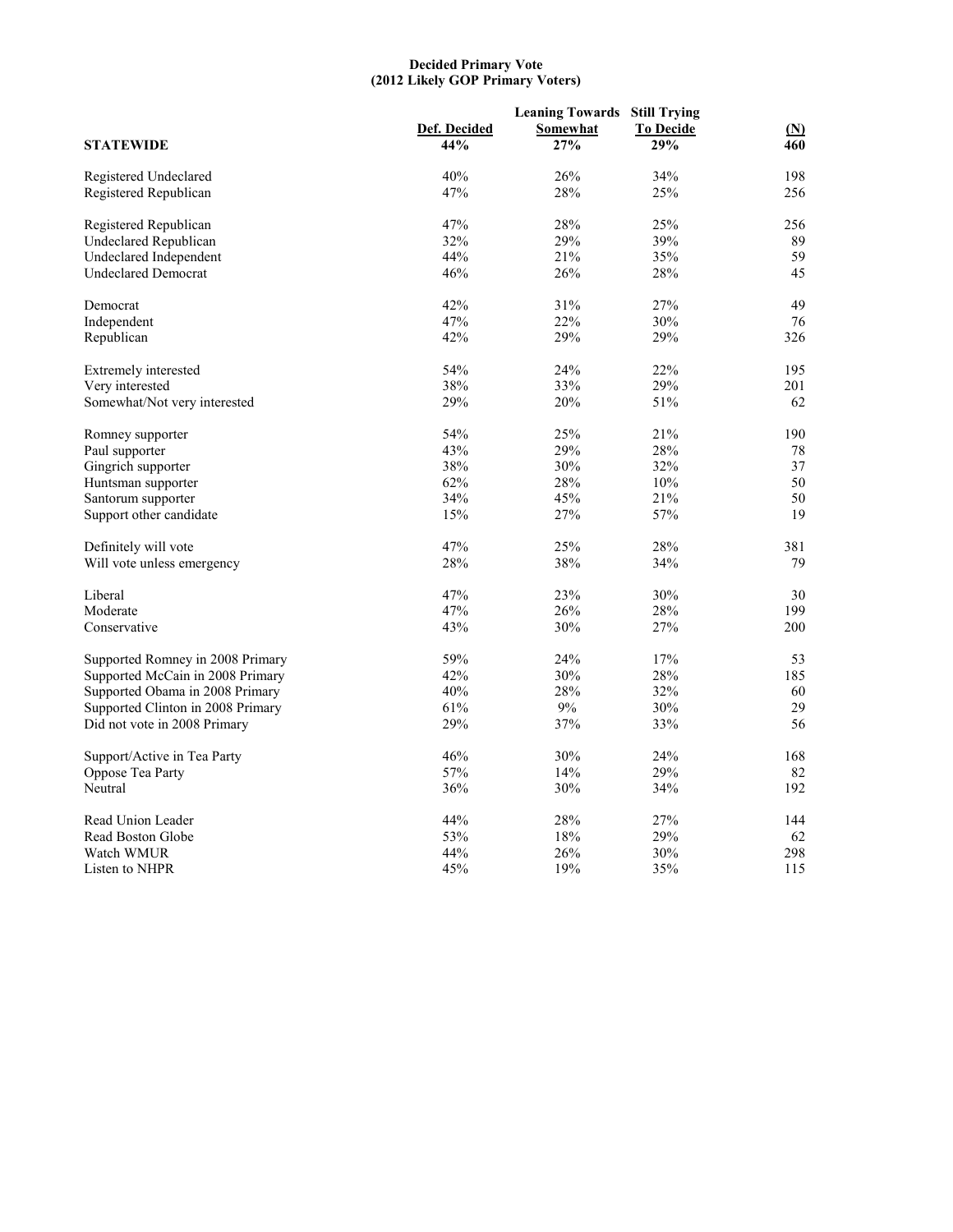#### **Decided Primary Vote (2012 Likely GOP Primary Voters)**

|                                   |              |          | <b>Leaning Towards Still Trying</b> |                   |  |
|-----------------------------------|--------------|----------|-------------------------------------|-------------------|--|
|                                   | Def. Decided | Somewhat | <b>To Decide</b>                    | $(\underline{N})$ |  |
| <b>STATEWIDE</b>                  | 44%          | 27%      | 29%                                 | 460               |  |
| Registered Undeclared             | 40%          | 26%      | 34%                                 | 198               |  |
| Registered Republican             | 47%          | 28%      | 25%                                 | 256               |  |
| Registered Republican             | 47%          | 28%      | 25%                                 | 256               |  |
| <b>Undeclared Republican</b>      | 32%          | 29%      | 39%                                 | 89                |  |
| <b>Undeclared Independent</b>     | 44%          | 21%      | 35%                                 | 59                |  |
| <b>Undeclared Democrat</b>        | 46%          | 26%      | 28%                                 | 45                |  |
| Democrat                          | 42%          | 31%      | 27%                                 | 49                |  |
| Independent                       | 47%          | 22%      | 30%                                 | 76                |  |
| Republican                        | 42%          | 29%      | 29%                                 | 326               |  |
| Extremely interested              | 54%          | 24%      | 22%                                 | 195               |  |
| Very interested                   | 38%          | 33%      | 29%                                 | 201               |  |
| Somewhat/Not very interested      | 29%          | 20%      | 51%                                 | 62                |  |
| Romney supporter                  | 54%          | 25%      | 21%                                 | 190               |  |
| Paul supporter                    | 43%          | 29%      | 28%                                 | 78                |  |
| Gingrich supporter                | 38%          | 30%      | 32%                                 | 37                |  |
| Huntsman supporter                | 62%          | 28%      | 10%                                 | 50                |  |
| Santorum supporter                | 34%          | 45%      | 21%                                 | 50                |  |
| Support other candidate           | 15%          | 27%      | 57%                                 | 19                |  |
| Definitely will vote              | 47%          | 25%      | 28%                                 | 381               |  |
| Will vote unless emergency        | 28%          | 38%      | 34%                                 | 79                |  |
| Liberal                           | 47%          | 23%      | 30%                                 | 30                |  |
| Moderate                          | 47%          | 26%      | 28%                                 | 199               |  |
| Conservative                      | 43%          | 30%      | 27%                                 | 200               |  |
| Supported Romney in 2008 Primary  | 59%          | 24%      | 17%                                 | 53                |  |
| Supported McCain in 2008 Primary  | 42%          | 30%      | 28%                                 | 185               |  |
| Supported Obama in 2008 Primary   | 40%          | 28%      | 32%                                 | 60                |  |
| Supported Clinton in 2008 Primary | 61%          | 9%       | 30%                                 | 29                |  |
| Did not vote in 2008 Primary      | 29%          | 37%      | 33%                                 | 56                |  |
| Support/Active in Tea Party       | 46%          | 30%      | 24%                                 | 168               |  |
| Oppose Tea Party                  | 57%          | 14%      | 29%                                 | 82                |  |
| Neutral                           | 36%          | 30%      | 34%                                 | 192               |  |
| Read Union Leader                 | 44%          | 28%      | 27%                                 | 144               |  |
| Read Boston Globe                 | 53%          | 18%      | 29%                                 | 62                |  |
| Watch WMUR                        | 44%          | 26%      | 30%                                 | 298               |  |
| Listen to NHPR                    | 45%          | 19%      | 35%                                 | 115               |  |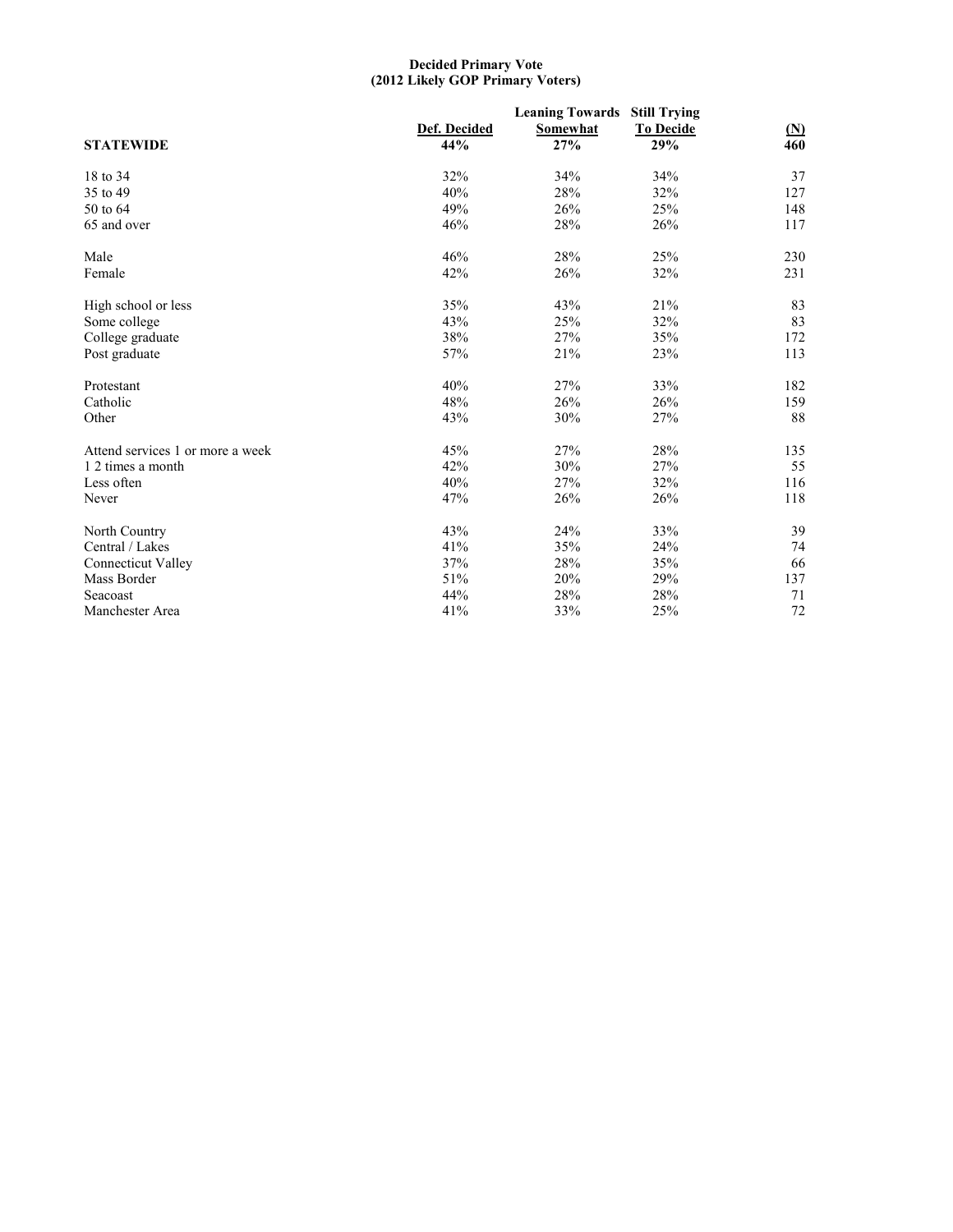#### **Decided Primary Vote (2012 Likely GOP Primary Voters)**

| <b>STATEWIDE</b>                 | Def. Decided<br>44% | <b>Leaning Towards</b><br>Somewhat<br>27% | <b>Still Trying</b><br><b>To Decide</b><br>29% | $(\underline{N})$<br>460 |
|----------------------------------|---------------------|-------------------------------------------|------------------------------------------------|--------------------------|
| 18 to 34                         | 32%                 | 34%                                       | 34%                                            | 37                       |
| 35 to 49                         | 40%                 | 28%                                       | 32%                                            | 127                      |
| 50 to 64                         | 49%                 | 26%                                       | 25%                                            | 148                      |
| 65 and over                      | 46%                 | 28%                                       | 26%                                            | 117                      |
| Male                             | 46%                 | 28%                                       | 25%                                            | 230                      |
| Female                           | 42%                 | 26%                                       | 32%                                            | 231                      |
| High school or less              | 35%                 | 43%                                       | 21%                                            | 83                       |
| Some college                     | 43%                 | 25%                                       | 32%                                            | 83                       |
| College graduate                 | 38%                 | 27%                                       | 35%                                            | 172                      |
| Post graduate                    | 57%                 | 21%                                       | 23%                                            | 113                      |
| Protestant                       | 40%                 | 27%                                       | 33%                                            | 182                      |
| Catholic                         | 48%                 | 26%                                       | 26%                                            | 159                      |
| Other                            | 43%                 | 30%                                       | 27%                                            | 88                       |
| Attend services 1 or more a week | 45%                 | 27%                                       | 28%                                            | 135                      |
| 1 2 times a month                | 42%                 | 30%                                       | 27%                                            | 55                       |
| Less often                       | 40%                 | 27%                                       | 32%                                            | 116                      |
| Never                            | 47%                 | 26%                                       | 26%                                            | 118                      |
| North Country                    | 43%                 | 24%                                       | 33%                                            | 39                       |
| Central / Lakes                  | 41%                 | 35%                                       | 24%                                            | 74                       |
| <b>Connecticut Valley</b>        | 37%                 | 28%                                       | 35%                                            | 66                       |
| Mass Border                      | 51%                 | 20%                                       | 29%                                            | 137                      |
| Seacoast                         | 44%                 | 28%                                       | 28%                                            | 71                       |
| Manchester Area                  | 41%                 | 33%                                       | 25%                                            | 72                       |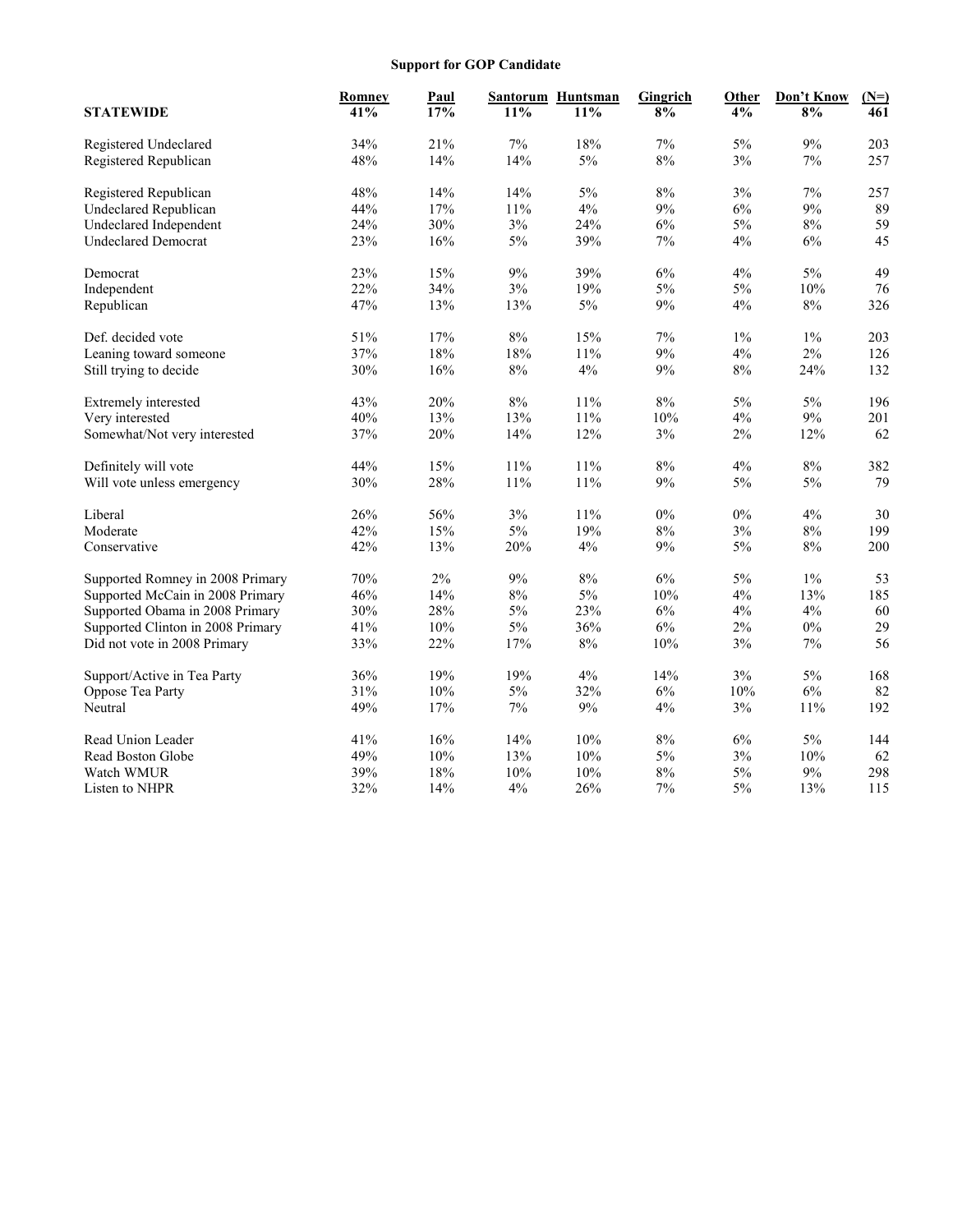## **Support for GOP Candidate**

|                                   | Romney | <b>Paul</b> |       | Santorum Huntsman | Gingrich | <b>Other</b> | Don't Know | $(N=)$ |
|-----------------------------------|--------|-------------|-------|-------------------|----------|--------------|------------|--------|
| <b>STATEWIDE</b>                  | 41%    | 17%         | 11%   | 11%               | 8%       | 4%           | 8%         | 461    |
| Registered Undeclared             | 34%    | 21%         | $7\%$ | 18%               | 7%       | $5\%$        | 9%         | 203    |
| Registered Republican             | 48%    | 14%         | 14%   | $5\%$             | 8%       | 3%           | 7%         | 257    |
| Registered Republican             | 48%    | 14%         | 14%   | 5%                | 8%       | 3%           | 7%         | 257    |
| <b>Undeclared Republican</b>      | 44%    | 17%         | 11%   | 4%                | 9%       | 6%           | 9%         | 89     |
| Undeclared Independent            | 24%    | 30%         | 3%    | 24%               | 6%       | 5%           | $8\%$      | 59     |
| <b>Undeclared Democrat</b>        | 23%    | 16%         | 5%    | 39%               | 7%       | 4%           | 6%         | 45     |
| Democrat                          | 23%    | 15%         | 9%    | 39%               | 6%       | 4%           | 5%         | 49     |
| Independent                       | 22%    | 34%         | 3%    | 19%               | 5%       | 5%           | 10%        | 76     |
| Republican                        | 47%    | 13%         | 13%   | $5\%$             | 9%       | $4\%$        | $8\%$      | 326    |
| Def. decided vote                 | 51%    | 17%         | 8%    | 15%               | 7%       | $1\%$        | $1\%$      | 203    |
| Leaning toward someone            | 37%    | 18%         | 18%   | 11%               | 9%       | 4%           | 2%         | 126    |
| Still trying to decide            | 30%    | 16%         | $8\%$ | 4%                | 9%       | $8\%$        | 24%        | 132    |
| Extremely interested              | 43%    | 20%         | 8%    | 11%               | 8%       | 5%           | 5%         | 196    |
| Very interested                   | 40%    | 13%         | 13%   | 11%               | 10%      | 4%           | 9%         | 201    |
| Somewhat/Not very interested      | 37%    | 20%         | 14%   | 12%               | 3%       | $2\%$        | 12%        | 62     |
| Definitely will vote              | 44%    | 15%         | 11%   | 11%               | 8%       | 4%           | $8\%$      | 382    |
| Will vote unless emergency        | 30%    | 28%         | 11%   | 11%               | 9%       | $5\%$        | $5\%$      | 79     |
| Liberal                           | 26%    | 56%         | 3%    | 11%               | 0%       | 0%           | 4%         | 30     |
| Moderate                          | 42%    | 15%         | $5\%$ | 19%               | 8%       | 3%           | $8\%$      | 199    |
| Conservative                      | 42%    | 13%         | 20%   | 4%                | 9%       | 5%           | 8%         | 200    |
| Supported Romney in 2008 Primary  | $70\%$ | $2\%$       | $9\%$ | $8\%$             | 6%       | $5\%$        | $1\%$      | 53     |
| Supported McCain in 2008 Primary  | 46%    | 14%         | $8\%$ | $5\%$             | 10%      | 4%           | 13%        | 185    |
| Supported Obama in 2008 Primary   | 30%    | 28%         | 5%    | 23%               | 6%       | 4%           | 4%         | 60     |
| Supported Clinton in 2008 Primary | 41%    | 10%         | $5\%$ | 36%               | 6%       | 2%           | $0\%$      | 29     |
| Did not vote in 2008 Primary      | 33%    | 22%         | 17%   | 8%                | 10%      | $3\%$        | $7\%$      | 56     |
| Support/Active in Tea Party       | 36%    | 19%         | 19%   | 4%                | 14%      | 3%           | 5%         | 168    |
| Oppose Tea Party                  | 31%    | 10%         | $5\%$ | 32%               | 6%       | 10%          | $6\%$      | 82     |
| Neutral                           | 49%    | 17%         | $7\%$ | 9%                | 4%       | $3\%$        | 11%        | 192    |
| Read Union Leader                 | 41%    | 16%         | 14%   | 10%               | 8%       | 6%           | 5%         | 144    |
| Read Boston Globe                 | 49%    | 10%         | 13%   | 10%               | 5%       | 3%           | 10%        | 62     |
| Watch WMUR                        | 39%    | 18%         | 10%   | 10%               | 8%       | 5%           | 9%         | 298    |
| Listen to NHPR                    | 32%    | 14%         | 4%    | 26%               | 7%       | 5%           | 13%        | 115    |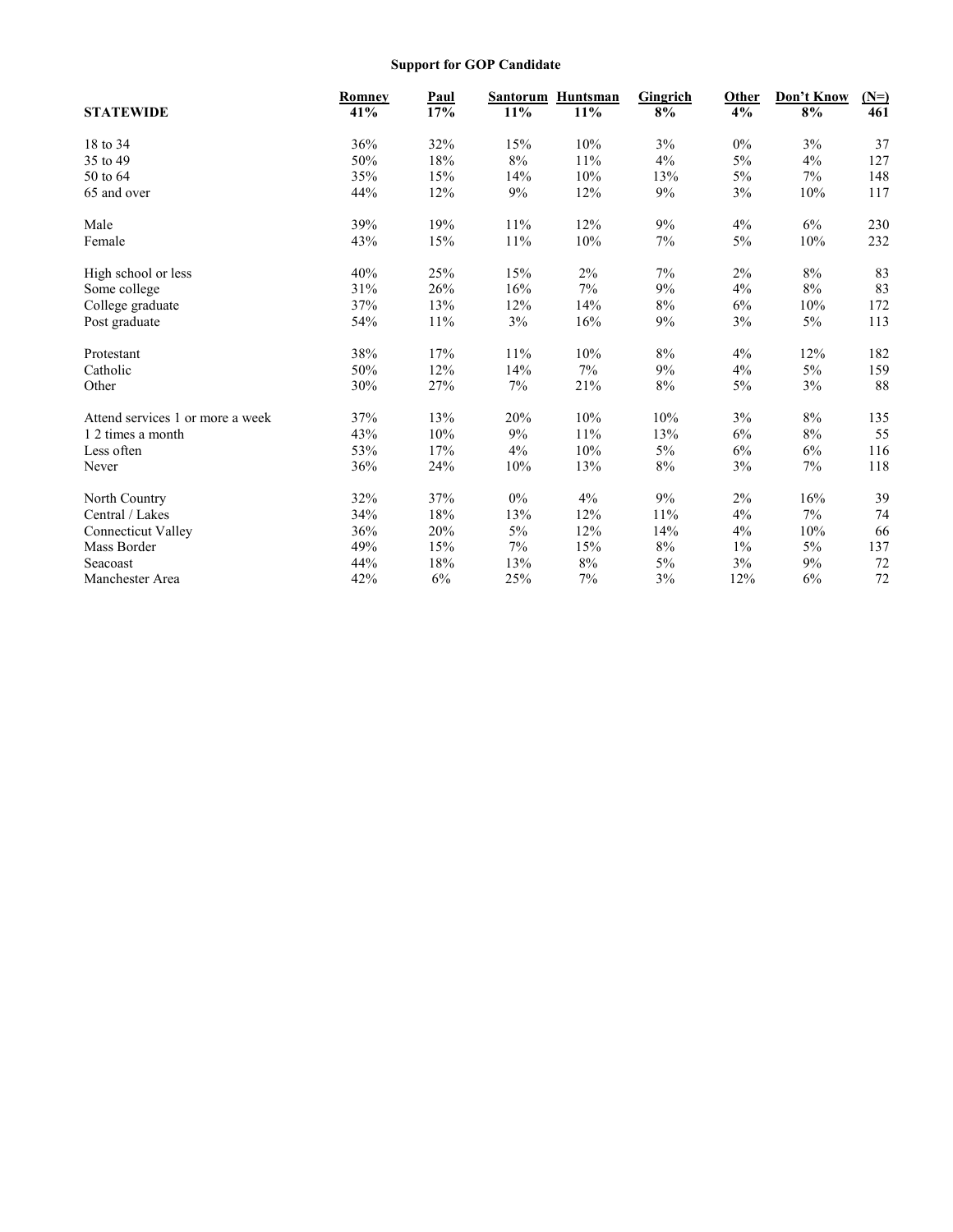## **Support for GOP Candidate**

|                                  | <b>Romney</b> | Paul   | <b>Santorum</b> | Huntsman | Gingrich | Other | Don't Know | $(N=)$ |
|----------------------------------|---------------|--------|-----------------|----------|----------|-------|------------|--------|
| <b>STATEWIDE</b>                 | 41%           | 17%    | $11\%$          | 11%      | 8%       | 4%    | 8%         | 461    |
| 18 to 34                         | 36%           | 32%    | 15%             | 10%      | 3%       | 0%    | 3%         | 37     |
| 35 to 49                         | 50%           | $18\%$ | $8\%$           | 11%      | $4\%$    | 5%    | 4%         | 127    |
| 50 to 64                         | 35%           | 15%    | 14%             | 10%      | 13%      | 5%    | 7%         | 148    |
| 65 and over                      | 44%           | 12%    | 9%              | 12%      | 9%       | 3%    | 10%        | 117    |
| Male                             | 39%           | 19%    | $11\%$          | 12%      | 9%       | 4%    | 6%         | 230    |
| Female                           | 43%           | 15%    | $11\%$          | 10%      | $7\%$    | 5%    | 10%        | 232    |
| High school or less              | 40%           | 25%    | 15%             | $2\%$    | 7%       | $2\%$ | $8\%$      | 83     |
| Some college                     | 31%           | 26%    | 16%             | 7%       | 9%       | 4%    | $8\%$      | 83     |
| College graduate                 | 37%           | 13%    | 12%             | 14%      | 8%       | 6%    | 10%        | 172    |
| Post graduate                    | 54%           | 11%    | $3\%$           | 16%      | 9%       | 3%    | 5%         | 113    |
| Protestant                       | 38%           | 17%    | $11\%$          | 10%      | 8%       | 4%    | 12%        | 182    |
| Catholic                         | 50%           | 12%    | 14%             | 7%       | 9%       | 4%    | 5%         | 159    |
| Other                            | 30%           | 27%    | 7%              | 21%      | 8%       | 5%    | 3%         | 88     |
| Attend services 1 or more a week | 37%           | 13%    | 20%             | 10%      | 10%      | 3%    | 8%         | 135    |
| 1 2 times a month                | 43%           | 10%    | $9\%$           | 11%      | 13%      | 6%    | $8\%$      | 55     |
| Less often                       | 53%           | 17%    | 4%              | 10%      | 5%       | 6%    | 6%         | 116    |
| Never                            | 36%           | 24%    | $10\%$          | 13%      | $8\%$    | $3\%$ | $7\%$      | 118    |
| North Country                    | 32%           | 37%    | 0%              | $4\%$    | 9%       | 2%    | 16%        | 39     |
| Central / Lakes                  | 34%           | 18%    | 13%             | 12%      | 11%      | 4%    | 7%         | 74     |
| <b>Connecticut Valley</b>        | 36%           | 20%    | 5%              | 12%      | 14%      | 4%    | 10%        | 66     |
| Mass Border                      | 49%           | 15%    | $7\%$           | 15%      | $8\%$    | $1\%$ | 5%         | 137    |
| Seacoast                         | 44%           | 18%    | 13%             | $8\%$    | 5%       | 3%    | 9%         | 72     |
| Manchester Area                  | 42%           | 6%     | 25%             | 7%       | 3%       | 12%   | 6%         | 72     |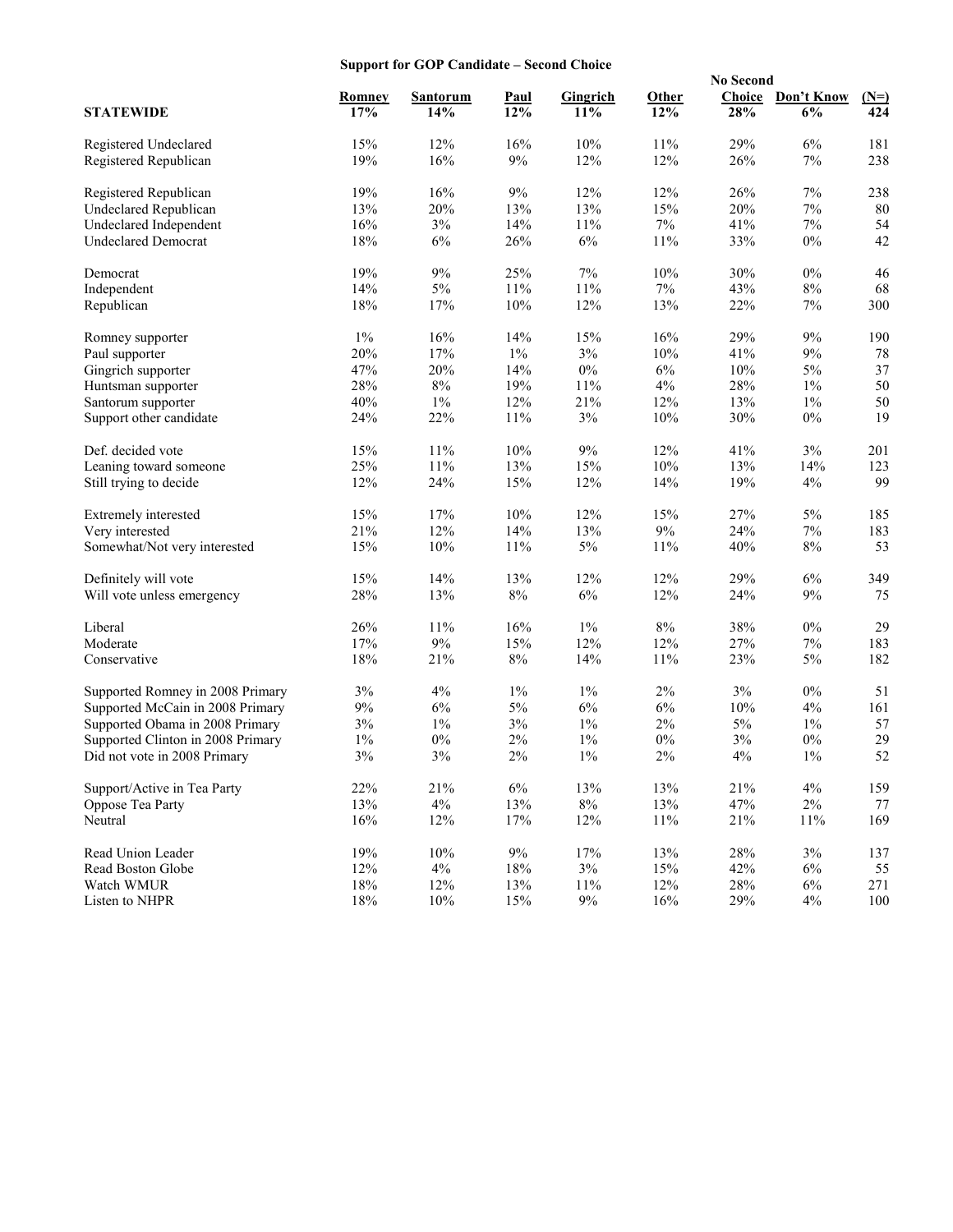## **Support for GOP Candidate – Second Choice**

|                                   | 01 the OUT Candidate<br><b>No Second</b> |          |       |                 |        |        |            |        |
|-----------------------------------|------------------------------------------|----------|-------|-----------------|--------|--------|------------|--------|
|                                   | <b>Romney</b>                            | Santorum | Paul  | <b>Gingrich</b> | Other  | Choice | Don't Know | $(N=)$ |
| <b>STATEWIDE</b>                  | 17%                                      | 14%      | 12%   | 11%             | 12%    | 28%    | 6%         | 424    |
| Registered Undeclared             | 15%                                      | 12%      | 16%   | 10%             | 11%    | 29%    | 6%         | 181    |
| Registered Republican             | 19%                                      | 16%      | 9%    | 12%             | 12%    | 26%    | 7%         | 238    |
| Registered Republican             | 19%                                      | 16%      | 9%    | 12%             | 12%    | 26%    | 7%         | 238    |
| <b>Undeclared Republican</b>      | 13%                                      | 20%      | 13%   | 13%             | 15%    | 20%    | $7\%$      | 80     |
| Undeclared Independent            | 16%                                      | $3\%$    | 14%   | 11%             | 7%     | 41%    | $7\%$      | 54     |
| <b>Undeclared Democrat</b>        | $18\%$                                   | 6%       | 26%   | $6\%$           | 11%    | 33%    | $0\%$      | 42     |
| Democrat                          | 19%                                      | $9\%$    | 25%   | 7%              | 10%    | 30%    | $0\%$      | 46     |
| Independent                       | 14%                                      | $5\%$    | 11%   | 11%             | $7\%$  | 43%    | $8\%$      | 68     |
| Republican                        | 18%                                      | 17%      | 10%   | 12%             | 13%    | 22%    | $7\%$      | 300    |
| Romney supporter                  | 1%                                       | 16%      | 14%   | 15%             | 16%    | 29%    | 9%         | 190    |
| Paul supporter                    | 20%                                      | 17%      | $1\%$ | $3\%$           | 10%    | 41%    | $9\%$      | 78     |
| Gingrich supporter                | 47%                                      | 20%      | 14%   | $0\%$           | 6%     | $10\%$ | $5\%$      | 37     |
| Huntsman supporter                | 28%                                      | $8\%$    | 19%   | $11\%$          | $4\%$  | 28%    | $1\%$      | 50     |
| Santorum supporter                | 40%                                      | $1\%$    | 12%   | 21%             | 12%    | 13%    | $1\%$      | 50     |
| Support other candidate           | 24%                                      | 22%      | 11%   | 3%              | 10%    | 30%    | $0\%$      | 19     |
| Def. decided vote                 | 15%                                      | 11%      | 10%   | 9%              | 12%    | 41%    | 3%         | 201    |
| Leaning toward someone            | 25%                                      | 11%      | 13%   | 15%             | 10%    | 13%    | 14%        | 123    |
| Still trying to decide            | 12%                                      | 24%      | 15%   | 12%             | 14%    | 19%    | 4%         | 99     |
| Extremely interested              | 15%                                      | 17%      | 10%   | 12%             | 15%    | 27%    | 5%         | 185    |
| Very interested                   | 21%                                      | 12%      | 14%   | 13%             | 9%     | 24%    | $7\%$      | 183    |
| Somewhat/Not very interested      | 15%                                      | 10%      | 11%   | $5\%$           | 11%    | 40%    | 8%         | 53     |
| Definitely will vote              | 15%                                      | 14%      | 13%   | 12%             | 12%    | 29%    | 6%         | 349    |
| Will vote unless emergency        | 28%                                      | 13%      | $8\%$ | 6%              | 12%    | 24%    | 9%         | 75     |
| Liberal                           | 26%                                      | 11%      | 16%   | $1\%$           | 8%     | 38%    | 0%         | 29     |
| Moderate                          | 17%                                      | $9\%$    | 15%   | 12%             | 12%    | 27%    | 7%         | 183    |
| Conservative                      | 18%                                      | 21%      | $8\%$ | 14%             | 11%    | 23%    | $5\%$      | 182    |
| Supported Romney in 2008 Primary  | 3%                                       | 4%       | $1\%$ | $1\%$           | 2%     | 3%     | $0\%$      | 51     |
| Supported McCain in 2008 Primary  | $9\%$                                    | $6\%$    | $5\%$ | 6%              | $6\%$  | $10\%$ | 4%         | 161    |
| Supported Obama in 2008 Primary   | 3%                                       | $1\%$    | $3\%$ | $1\%$           | 2%     | $5\%$  | $1\%$      | 57     |
| Supported Clinton in 2008 Primary | $1\%$                                    | $0\%$    | $2\%$ | $1\%$           | $0\%$  | $3\%$  | $0\%$      | 29     |
| Did not vote in 2008 Primary      | 3%                                       | $3\%$    | $2\%$ | $1\%$           | 2%     | 4%     | $1\%$      | 52     |
| Support/Active in Tea Party       | 22%                                      | $21\%$   | $6\%$ | 13%             | 13%    | $21\%$ | 4%         | 159    |
| Oppose Tea Party                  | 13%                                      | $4\%$    | 13%   | $8\%$           | 13%    | 47%    | $2\%$      | 77     |
| Neutral                           | 16%                                      | 12%      | 17%   | 12%             | $11\%$ | $21\%$ | $11\%$     | 169    |
| Read Union Leader                 | 19%                                      | $10\%$   | $9\%$ | 17%             | 13%    | 28%    | $3\%$      | 137    |
| Read Boston Globe                 | 12%                                      | $4\%$    | 18%   | 3%              | 15%    | 42%    | $6\%$      | 55     |
| Watch WMUR                        | $18\%$                                   | 12%      | 13%   | $11\%$          | 12%    | $28\%$ | $6\%$      | 271    |
| Listen to NHPR                    | $18\%$                                   | $10\%$   | 15%   | $9\%$           | 16%    | 29%    | 4%         | 100    |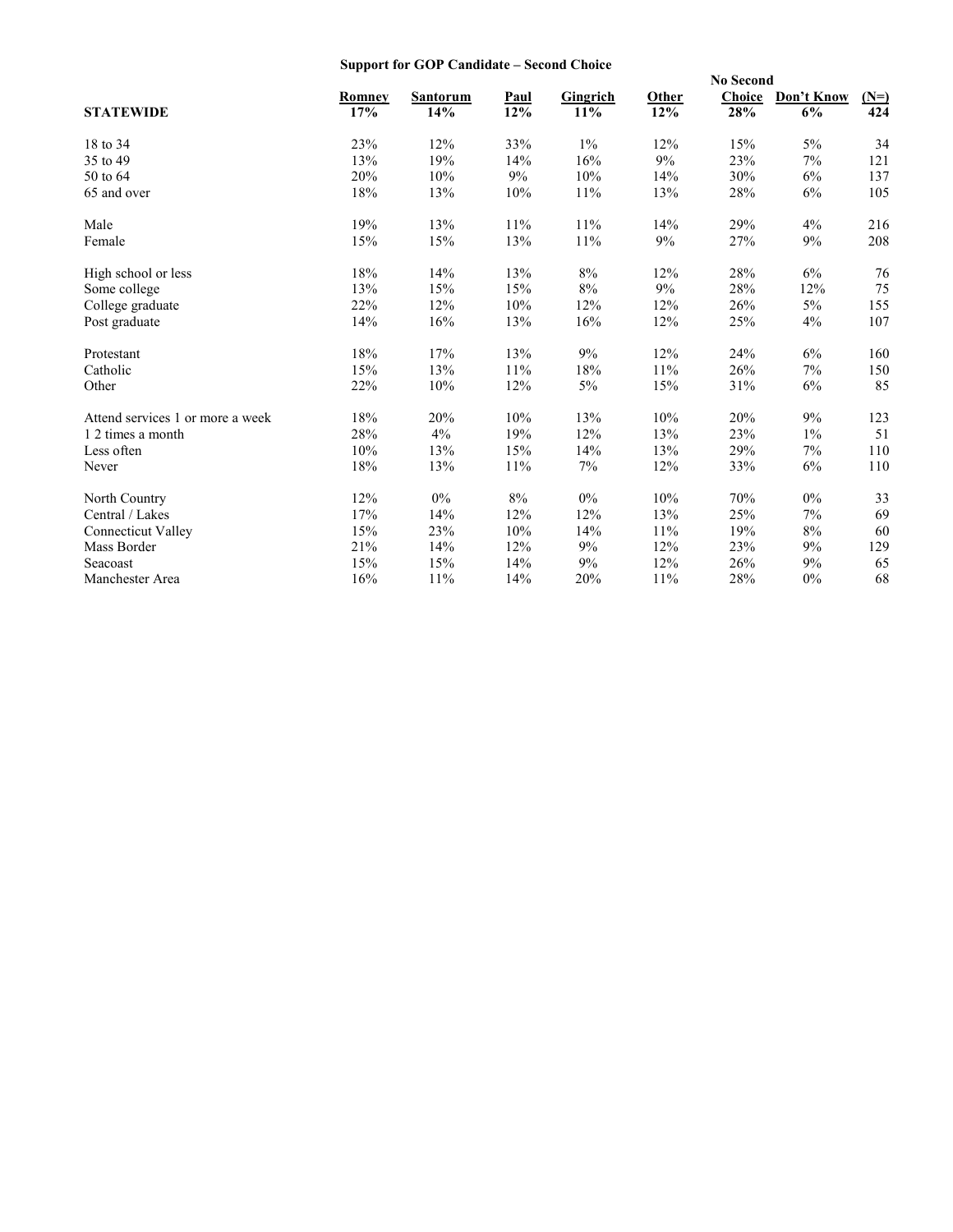## **Support for GOP Candidate – Second Choice**

|                                  |               |                 |        |          |       |        | <b>No Second</b> |        |  |  |
|----------------------------------|---------------|-----------------|--------|----------|-------|--------|------------------|--------|--|--|
|                                  | <b>Romney</b> | <b>Santorum</b> | Paul   | Gingrich | Other | Choice | Don't Know       | $(N=)$ |  |  |
| <b>STATEWIDE</b>                 | 17%           | 14%             | 12%    | 11%      | 12%   | 28%    | 6%               | 424    |  |  |
| 18 to 34                         | 23%           | 12%             | 33%    | $1\%$    | 12%   | 15%    | 5%               | 34     |  |  |
| 35 to 49                         | 13%           | 19%             | 14%    | 16%      | 9%    | 23%    | 7%               | 121    |  |  |
| 50 to 64                         | 20%           | 10%             | 9%     | 10%      | 14%   | 30%    | 6%               | 137    |  |  |
| 65 and over                      | $18\%$        | 13%             | 10%    | 11%      | 13%   | 28%    | 6%               | 105    |  |  |
| Male                             | 19%           | 13%             | 11%    | 11%      | 14%   | 29%    | 4%               | 216    |  |  |
| Female                           | 15%           | 15%             | 13%    | 11%      | 9%    | 27%    | 9%               | 208    |  |  |
| High school or less              | 18%           | 14%             | 13%    | 8%       | 12%   | 28%    | 6%               | 76     |  |  |
| Some college                     | 13%           | 15%             | 15%    | $8\%$    | 9%    | $28\%$ | 12%              | 75     |  |  |
| College graduate                 | 22%           | 12%             | 10%    | 12%      | 12%   | 26%    | 5%               | 155    |  |  |
| Post graduate                    | 14%           | 16%             | 13%    | 16%      | 12%   | 25%    | 4%               | 107    |  |  |
| Protestant                       | 18%           | 17%             | 13%    | 9%       | 12%   | 24%    | 6%               | 160    |  |  |
| Catholic                         | 15%           | 13%             | 11%    | 18%      | 11%   | 26%    | 7%               | 150    |  |  |
| Other                            | 22%           | 10%             | 12%    | $5\%$    | 15%   | 31%    | $6\%$            | 85     |  |  |
| Attend services 1 or more a week | 18%           | 20%             | 10%    | 13%      | 10%   | 20%    | 9%               | 123    |  |  |
| 1 2 times a month                | 28%           | 4%              | 19%    | 12%      | 13%   | 23%    | $1\%$            | 51     |  |  |
| Less often                       | 10%           | 13%             | 15%    | 14%      | 13%   | 29%    | 7%               | 110    |  |  |
| Never                            | 18%           | 13%             | 11%    | 7%       | 12%   | 33%    | 6%               | 110    |  |  |
| North Country                    | 12%           | $0\%$           | 8%     | $0\%$    | 10%   | 70%    | $0\%$            | 33     |  |  |
| Central / Lakes                  | 17%           | 14%             | 12%    | 12%      | 13%   | 25%    | 7%               | 69     |  |  |
| <b>Connecticut Valley</b>        | 15%           | 23%             | $10\%$ | 14%      | 11%   | 19%    | $8\%$            | 60     |  |  |
| Mass Border                      | 21%           | 14%             | 12%    | 9%       | 12%   | 23%    | 9%               | 129    |  |  |
| Seacoast                         | 15%           | 15%             | 14%    | 9%       | 12%   | 26%    | 9%               | 65     |  |  |
| Manchester Area                  | 16%           | 11%             | 14%    | 20%      | 11%   | 28%    | 0%               | 68     |  |  |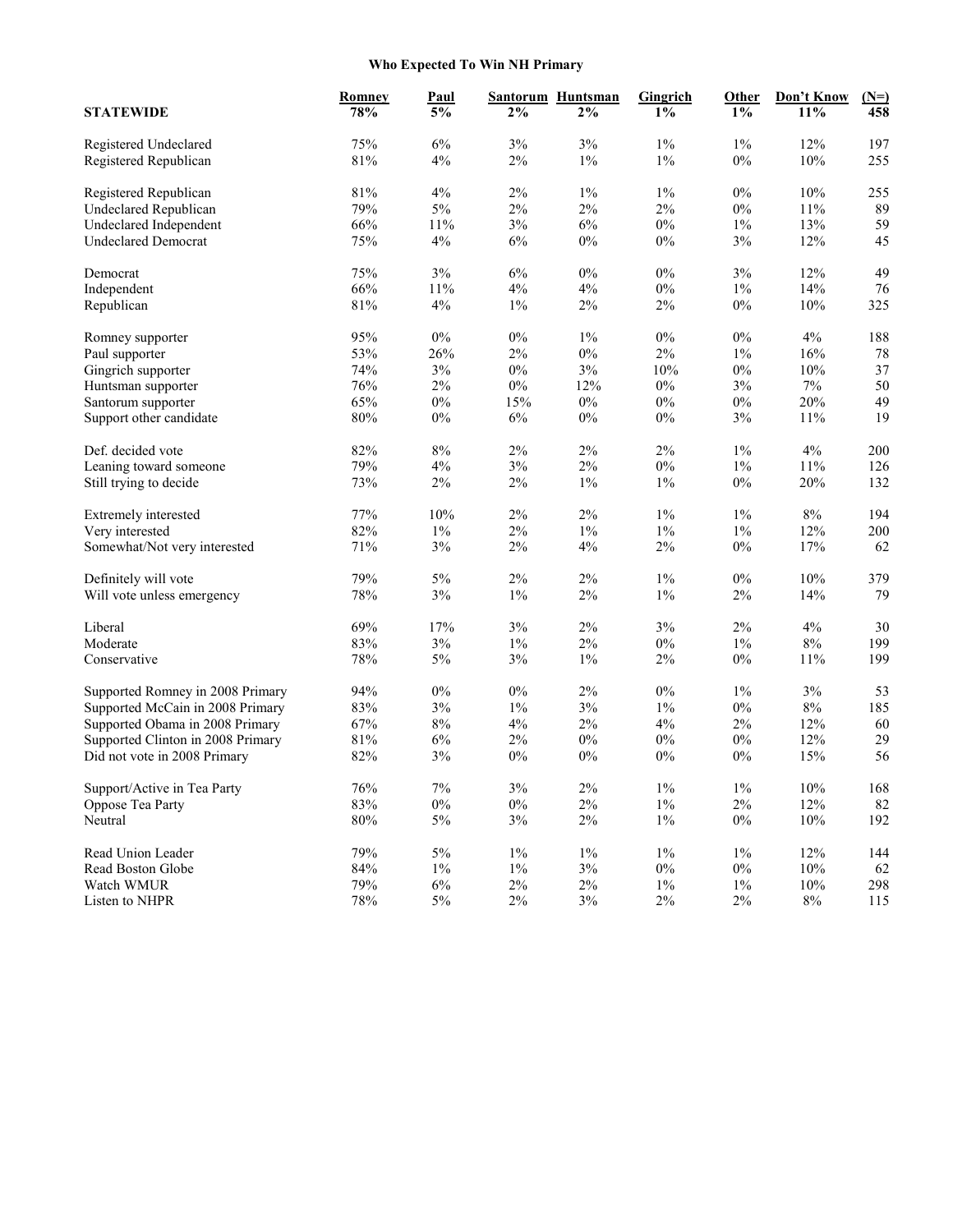## **Who Expected To Win NH Primary**

| <b>STATEWIDE</b>                  | Romney<br>78% | <b>Paul</b><br>5% | $2\%$ | Santorum Huntsman<br>$2\%$ | Gingrich<br>$1\%$ | Other<br>$1\%$ | Don't Know<br>11% | $(N=)$<br>458 |
|-----------------------------------|---------------|-------------------|-------|----------------------------|-------------------|----------------|-------------------|---------------|
| Registered Undeclared             | 75%           | 6%                | 3%    | 3%                         | $1\%$             | 1%             | 12%               | 197           |
| Registered Republican             | $81\%$        | $4\%$             | $2\%$ | $1\%$                      | $1\%$             | $0\%$          | $10\%$            | 255           |
| Registered Republican             | 81%           | $4\%$             | $2\%$ | $1\%$                      | $1\%$             | $0\%$          | 10%               | 255           |
| <b>Undeclared Republican</b>      | 79%           | $5\%$             | $2\%$ | $2\%$                      | $2\%$             | $0\%$          | 11%               | 89            |
| Undeclared Independent            | 66%           | 11%               | $3\%$ | 6%                         | $0\%$             | $1\%$          | 13%               | 59            |
| <b>Undeclared Democrat</b>        | 75%           | 4%                | 6%    | $0\%$                      | $0\%$             | $3\%$          | 12%               | 45            |
| Democrat                          | 75%           | $3\%$             | 6%    | $0\%$                      | $0\%$             | $3\%$          | 12%               | 49            |
| Independent                       | 66%           | 11%               | 4%    | 4%                         | $0\%$             | $1\%$          | 14%               | 76            |
| Republican                        | $81\%$        | 4%                | $1\%$ | $2\%$                      | $2\%$             | $0\%$          | $10\%$            | 325           |
| Romney supporter                  | 95%           | $0\%$             | $0\%$ | $1\%$                      | $0\%$             | $0\%$          | 4%                | 188           |
| Paul supporter                    | 53%           | 26%               | $2\%$ | $0\%$                      | 2%                | $1\%$          | 16%               | 78            |
| Gingrich supporter                | 74%           | $3\%$             | $0\%$ | $3\%$                      | 10%               | $0\%$          | $10\%$            | 37            |
| Huntsman supporter                | 76%           | $2\%$             | $0\%$ | 12%                        | $0\%$             | 3%             | $7\%$             | 50            |
| Santorum supporter                | 65%           | $0\%$             | 15%   | $0\%$                      | $0\%$             | $0\%$          | 20%               | 49            |
| Support other candidate           | 80%           | $0\%$             | $6\%$ | 0%                         | $0\%$             | 3%             | 11%               | 19            |
| Def. decided vote                 | 82%           | $8\%$             | $2\%$ | 2%                         | $2\%$             | $1\%$          | 4%                | 200           |
| Leaning toward someone            | 79%           | 4%                | 3%    | 2%                         | $0\%$             | $1\%$          | 11%               | 126           |
| Still trying to decide            | 73%           | $2\%$             | $2\%$ | $1\%$                      | $1\%$             | $0\%$          | 20%               | 132           |
| Extremely interested              | 77%           | 10%               | 2%    | 2%                         | $1\%$             | $1\%$          | 8%                | 194           |
| Very interested                   | 82%           | $1\%$             | $2\%$ | $1\%$                      | $1\%$             | $1\%$          | 12%               | 200           |
| Somewhat/Not very interested      | 71%           | $3\%$             | $2\%$ | 4%                         | $2\%$             | $0\%$          | 17%               | 62            |
| Definitely will vote              | 79%           | 5%                | 2%    | 2%                         | $1\%$             | $0\%$          | 10%               | 379           |
| Will vote unless emergency        | 78%           | $3\%$             | $1\%$ | 2%                         | $1\%$             | 2%             | 14%               | 79            |
| Liberal                           | 69%           | 17%               | $3\%$ | 2%                         | 3%                | $2\%$          | 4%                | 30            |
| Moderate                          | 83%           | $3\%$             | $1\%$ | 2%                         | $0\%$             | $1\%$          | $8\%$             | 199           |
| Conservative                      | $78\%$        | $5\%$             | $3\%$ | $1\%$                      | $2\%$             | $0\%$          | $11\%$            | 199           |
| Supported Romney in 2008 Primary  | 94%           | $0\%$             | $0\%$ | $2\%$                      | $0\%$             | $1\%$          | $3\%$             | 53            |
| Supported McCain in 2008 Primary  | 83%           | $3\%$             | $1\%$ | 3%                         | $1\%$             | $0\%$          | $8\%$             | 185           |
| Supported Obama in 2008 Primary   | 67%           | $8\%$             | 4%    | 2%                         | 4%                | 2%             | 12%               | 60            |
| Supported Clinton in 2008 Primary | $81\%$        | $6\%$             | $2\%$ | $0\%$                      | $0\%$             | $0\%$          | 12%               | 29            |
| Did not vote in 2008 Primary      | 82%           | 3%                | $0\%$ | $0\%$                      | $0\%$             | $0\%$          | 15%               | 56            |
| Support/Active in Tea Party       | $76\%$        | $7\%$             | $3\%$ | $2\%$                      | $1\%$             | $1\%$          | $10\%$            | 168           |
| Oppose Tea Party                  | $83\%$        | $0\%$             | $0\%$ | $2\%$                      | $1\%$             | $2\%$          | 12%               | 82            |
| Neutral                           | $80\%$        | $5\%$             | $3\%$ | $2\%$                      | $1\%$             | $0\%$          | $10\%$            | 192           |
| Read Union Leader                 | 79%           | $5\%$             | $1\%$ | $1\%$                      | $1\%$             | $1\%$          | 12%               | 144           |
| Read Boston Globe                 | $84\%$        | $1\%$             | $1\%$ | $3\%$                      | $0\%$             | $0\%$          | $10\%$            | 62            |
| Watch WMUR                        | 79%           | $6\%$             | $2\%$ | 2%                         | $1\%$             | $1\%$          | 10%               | 298           |
| Listen to NHPR                    | $78\%$        | $5\%$             | $2\%$ | $3\%$                      | $2\%$             | $2\%$          | $8\%$             | 115           |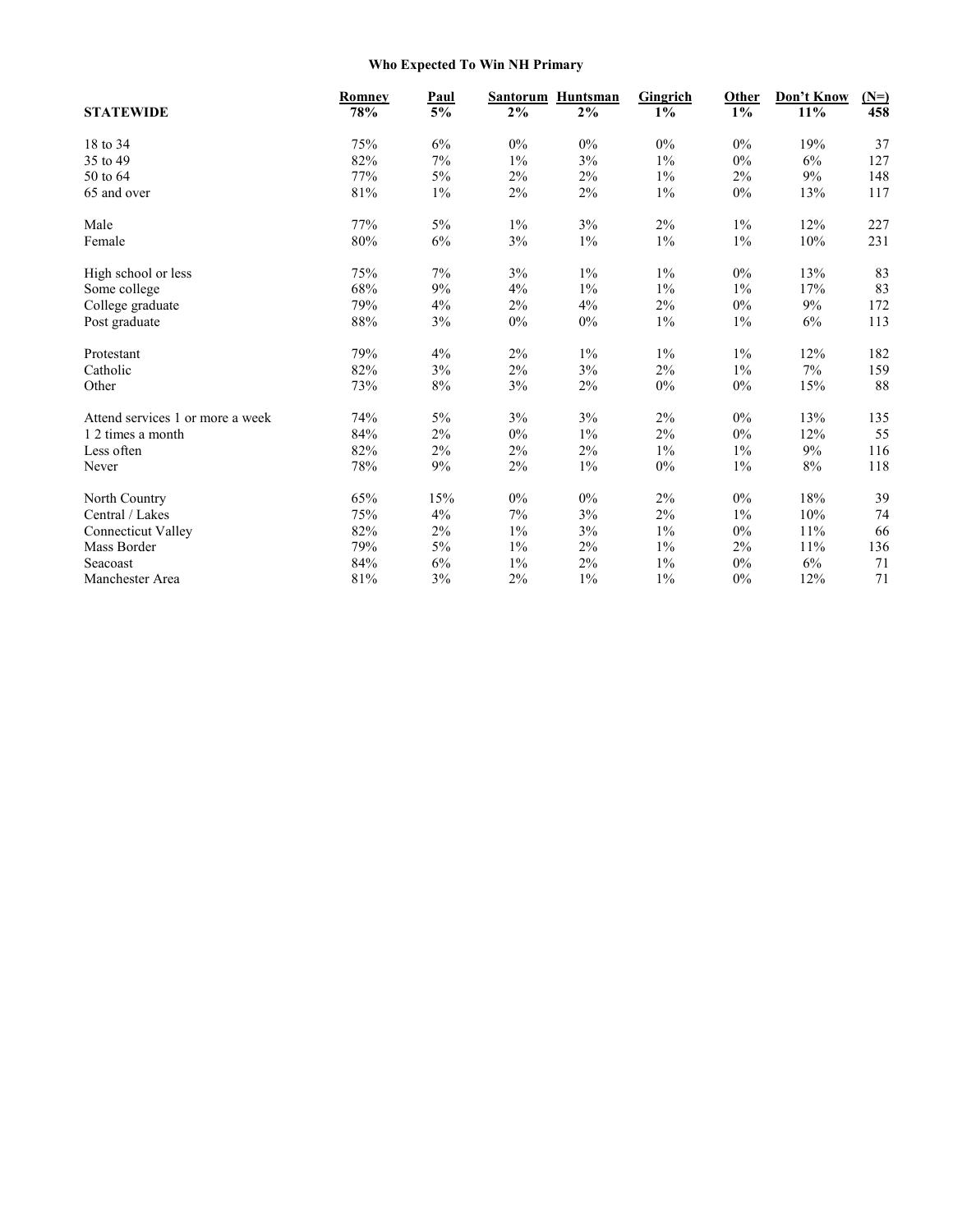## **Who Expected To Win NH Primary**

|                                  | Romney | Paul  | Santorum | Huntsman | Gingrich | Other | Don't Know | $(N=)$ |
|----------------------------------|--------|-------|----------|----------|----------|-------|------------|--------|
| <b>STATEWIDE</b>                 | 78%    | 5%    | 2%       | 2%       | 1%       | $1\%$ | 11%        | 458    |
| 18 to 34                         | 75%    | 6%    | $0\%$    | 0%       | $0\%$    | 0%    | 19%        | 37     |
| 35 to 49                         | 82%    | $7\%$ | $1\%$    | $3\%$    | $1\%$    | 0%    | $6\%$      | 127    |
| 50 to 64                         | 77%    | 5%    | $2\%$    | $2\%$    | $1\%$    | 2%    | 9%         | 148    |
| 65 and over                      | $81\%$ | $1\%$ | $2\%$    | 2%       | $1\%$    | 0%    | 13%        | 117    |
| Male                             | 77%    | 5%    | $1\%$    | 3%       | $2\%$    | $1\%$ | 12%        | 227    |
| Female                           | $80\%$ | $6\%$ | $3\%$    | $1\%$    | $1\%$    | $1\%$ | $10\%$     | 231    |
| High school or less              | 75%    | 7%    | 3%       | $1\%$    | $1\%$    | 0%    | 13%        | 83     |
| Some college                     | 68%    | 9%    | 4%       | $1\%$    | $1\%$    | $1\%$ | 17%        | 83     |
| College graduate                 | 79%    | 4%    | 2%       | 4%       | $2\%$    | 0%    | 9%         | 172    |
| Post graduate                    | $88\%$ | 3%    | $0\%$    | $0\%$    | $1\%$    | $1\%$ | 6%         | 113    |
| Protestant                       | 79%    | 4%    | 2%       | $1\%$    | $1\%$    | $1\%$ | 12%        | 182    |
| Catholic                         | 82%    | 3%    | $2\%$    | 3%       | $2\%$    | $1\%$ | 7%         | 159    |
| Other                            | 73%    | 8%    | $3\%$    | 2%       | $0\%$    | 0%    | 15%        | 88     |
| Attend services 1 or more a week | 74%    | 5%    | 3%       | 3%       | 2%       | 0%    | 13%        | 135    |
| 1 2 times a month                | 84%    | 2%    | $0\%$    | $1\%$    | $2\%$    | 0%    | 12%        | 55     |
| Less often                       | 82%    | 2%    | $2\%$    | 2%       | $1\%$    | $1\%$ | 9%         | 116    |
| Never                            | 78%    | $9\%$ | $2\%$    | $1\%$    | $0\%$    | $1\%$ | $8\%$      | 118    |
| North Country                    | 65%    | 15%   | 0%       | $0\%$    | 2%       | 0%    | 18%        | 39     |
| Central / Lakes                  | 75%    | 4%    | 7%       | $3\%$    | $2\%$    | $1\%$ | $10\%$     | 74     |
| <b>Connecticut Valley</b>        | 82%    | 2%    | $1\%$    | 3%       | $1\%$    | $0\%$ | 11%        | 66     |
| Mass Border                      | 79%    | $5\%$ | $1\%$    | $2\%$    | $1\%$    | 2%    | 11%        | 136    |
| Seacoast                         | 84%    | 6%    | $1\%$    | 2%       | $1\%$    | 0%    | 6%         | 71     |
| Manchester Area                  | $81\%$ | $3\%$ | 2%       | $1\%$    | $1\%$    | 0%    | 12%        | 71     |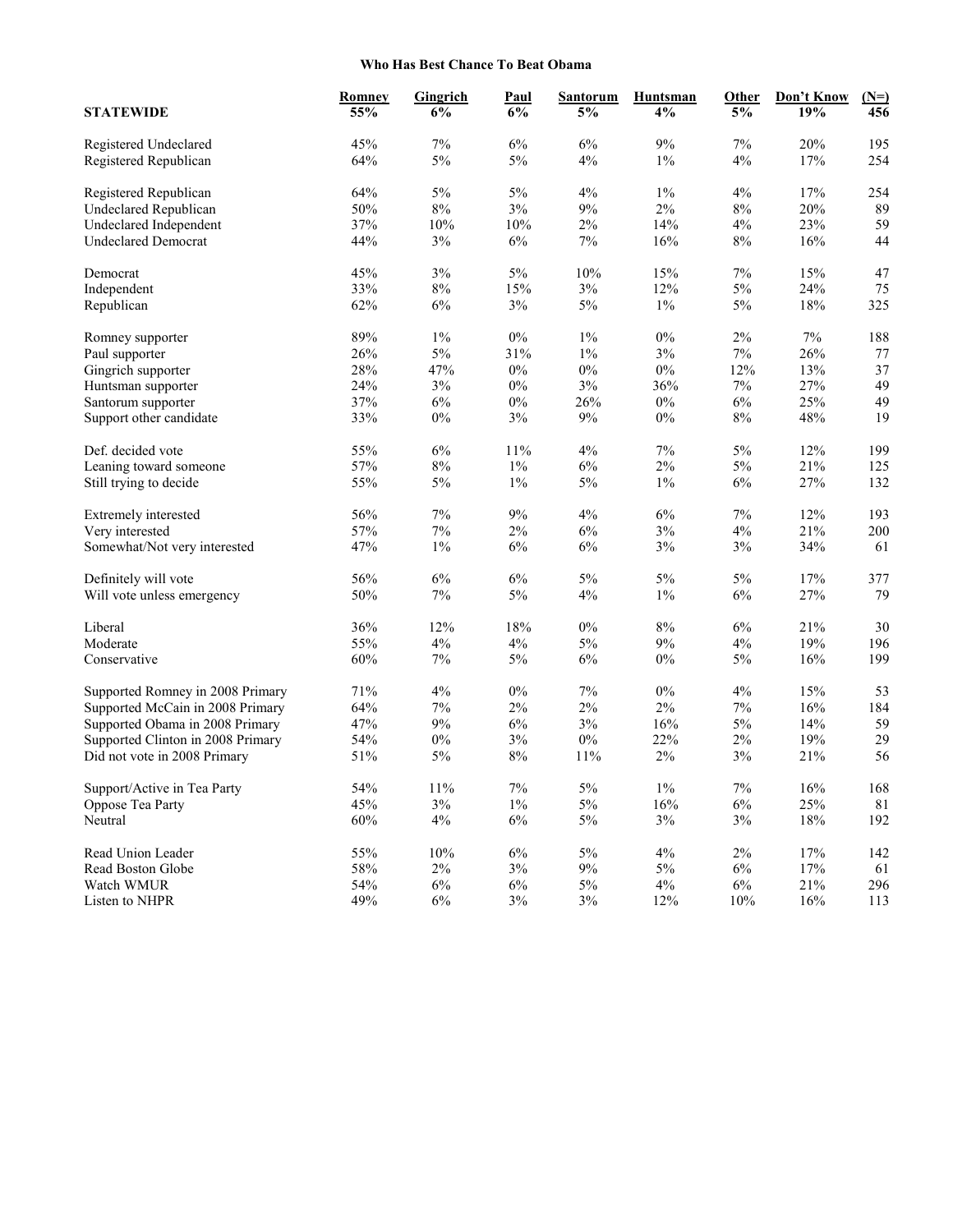## **Who Has Best Chance To Beat Obama**

| <b>STATEWIDE</b>                  | <b>Romney</b><br>55% | Gingrich<br>6% | <b>Paul</b><br>6% | <b>Santorum</b><br>5% | Huntsman<br>4% | Other<br>5% | Don't Know<br>19% | $(N=)$<br>456 |
|-----------------------------------|----------------------|----------------|-------------------|-----------------------|----------------|-------------|-------------------|---------------|
| Registered Undeclared             | 45%                  | $7\%$          | 6%                | 6%                    | 9%             | $7\%$       | 20%               | 195           |
| Registered Republican             | 64%                  | $5\%$          | 5%                | 4%                    | $1\%$          | 4%          | $17\%$            | 254           |
| Registered Republican             | 64%                  | $5\%$          | 5%                | 4%                    | $1\%$          | 4%          | 17%               | 254           |
| <b>Undeclared Republican</b>      | 50%                  | $8\%$          | $3\%$             | 9%                    | $2\%$          | $8\%$       | 20%               | 89            |
| Undeclared Independent            | 37%                  | 10%            | 10%               | 2%                    | 14%            | $4\%$       | 23%               | 59            |
| <b>Undeclared Democrat</b>        | 44%                  | $3\%$          | $6\%$             | 7%                    | 16%            | $8\%$       | 16%               | 44            |
| Democrat                          | 45%                  | $3\%$          | $5\%$             | 10%                   | 15%            | 7%          | 15%               | 47            |
| Independent                       | 33%                  | $8\%$          | 15%               | $3\%$                 | 12%            | $5\%$       | 24%               | 75            |
| Republican                        | 62%                  | $6\%$          | $3\%$             | $5\%$                 | $1\%$          | $5\%$       | $18\%$            | 325           |
| Romney supporter                  | 89%                  | $1\%$          | $0\%$             | $1\%$                 | $0\%$          | $2\%$       | 7%                | 188           |
| Paul supporter                    | 26%                  | $5\%$          | 31%               | $1\%$                 | 3%             | 7%          | 26%               | 77            |
| Gingrich supporter                | 28%                  | 47%            | $0\%$             | $0\%$                 | $0\%$          | 12%         | 13%               | 37            |
| Huntsman supporter                | 24%                  | $3\%$          | $0\%$             | 3%                    | 36%            | 7%          | 27%               | 49            |
| Santorum supporter                | 37%                  | $6\%$          | $0\%$             | 26%                   | $0\%$          | 6%          | 25%               | 49            |
| Support other candidate           | 33%                  | $0\%$          | $3\%$             | 9%                    | $0\%$          | $8\%$       | 48%               | 19            |
| Def. decided vote                 | 55%                  | $6\%$          | 11%               | 4%                    | 7%             | 5%          | 12%               | 199           |
| Leaning toward someone            | 57%                  | $8\%$          | $1\%$             | 6%                    | $2\%$          | $5\%$       | 21%               | 125           |
| Still trying to decide            | 55%                  | 5%             | $1\%$             | $5\%$                 | $1\%$          | 6%          | 27%               | 132           |
| Extremely interested              | 56%                  | $7\%$          | 9%                | 4%                    | 6%             | 7%          | 12%               | 193           |
| Very interested                   | 57%                  | $7\%$          | 2%                | 6%                    | 3%             | $4\%$       | 21%               | 200           |
| Somewhat/Not very interested      | 47%                  | $1\%$          | 6%                | 6%                    | $3\%$          | 3%          | 34%               | 61            |
| Definitely will vote              | 56%                  | $6\%$          | 6%                | $5\%$                 | 5%             | 5%          | 17%               | 377           |
| Will vote unless emergency        | 50%                  | $7\%$          | $5\%$             | 4%                    | $1\%$          | $6\%$       | 27%               | 79            |
| Liberal                           | 36%                  | 12%            | 18%               | $0\%$                 | $8\%$          | 6%          | 21%               | 30            |
| Moderate                          | 55%                  | $4\%$          | $4\%$             | $5\%$                 | 9%             | 4%          | 19%               | 196           |
| Conservative                      | 60%                  | 7%             | 5%                | $6\%$                 | 0%             | $5\%$       | 16%               | 199           |
| Supported Romney in 2008 Primary  | 71%                  | $4\%$          | $0\%$             | $7\%$                 | $0\%$          | $4\%$       | 15%               | 53            |
| Supported McCain in 2008 Primary  | 64%                  | 7%             | $2\%$             | $2\%$                 | $2\%$          | 7%          | 16%               | 184           |
| Supported Obama in 2008 Primary   | 47%                  | 9%             | $6\%$             | 3%                    | 16%            | $5\%$       | 14%               | 59            |
| Supported Clinton in 2008 Primary | 54%                  | $0\%$          | $3\%$             | $0\%$                 | 22%            | 2%          | 19%               | 29            |
| Did not vote in 2008 Primary      | 51%                  | $5\%$          | $8\%$             | 11%                   | $2\%$          | 3%          | 21%               | 56            |
| Support/Active in Tea Party       | 54%                  | $11\%$         | $7\%$             | $5\%$                 | $1\%$          | $7\%$       | $16\%$            | 168           |
| Oppose Tea Party                  | 45%                  | 3%             | $1\%$             | 5%                    | 16%            | $6\%$       | 25%               | 81            |
| Neutral                           | 60%                  | $4\%$          | $6\%$             | $5\%$                 | $3\%$          | $3\%$       | $18\%$            | 192           |
| Read Union Leader                 | 55%                  | $10\%$         | $6\%$             | $5\%$                 | $4\%$          | $2\%$       | $17\%$            | 142           |
| Read Boston Globe                 | 58%                  | $2\%$          | $3\%$             | $9\%$                 | $5\%$          | $6\%$       | $17\%$            | 61            |
| Watch WMUR                        | 54%                  | $6\%$          | $6\%$             | $5\%$                 | $4\%$          | $6\%$       | 21%               | 296           |
| Listen to NHPR                    | 49%                  | $6\%$          | $3\%$             | $3\%$                 | 12%            | $10\%$      | 16%               | 113           |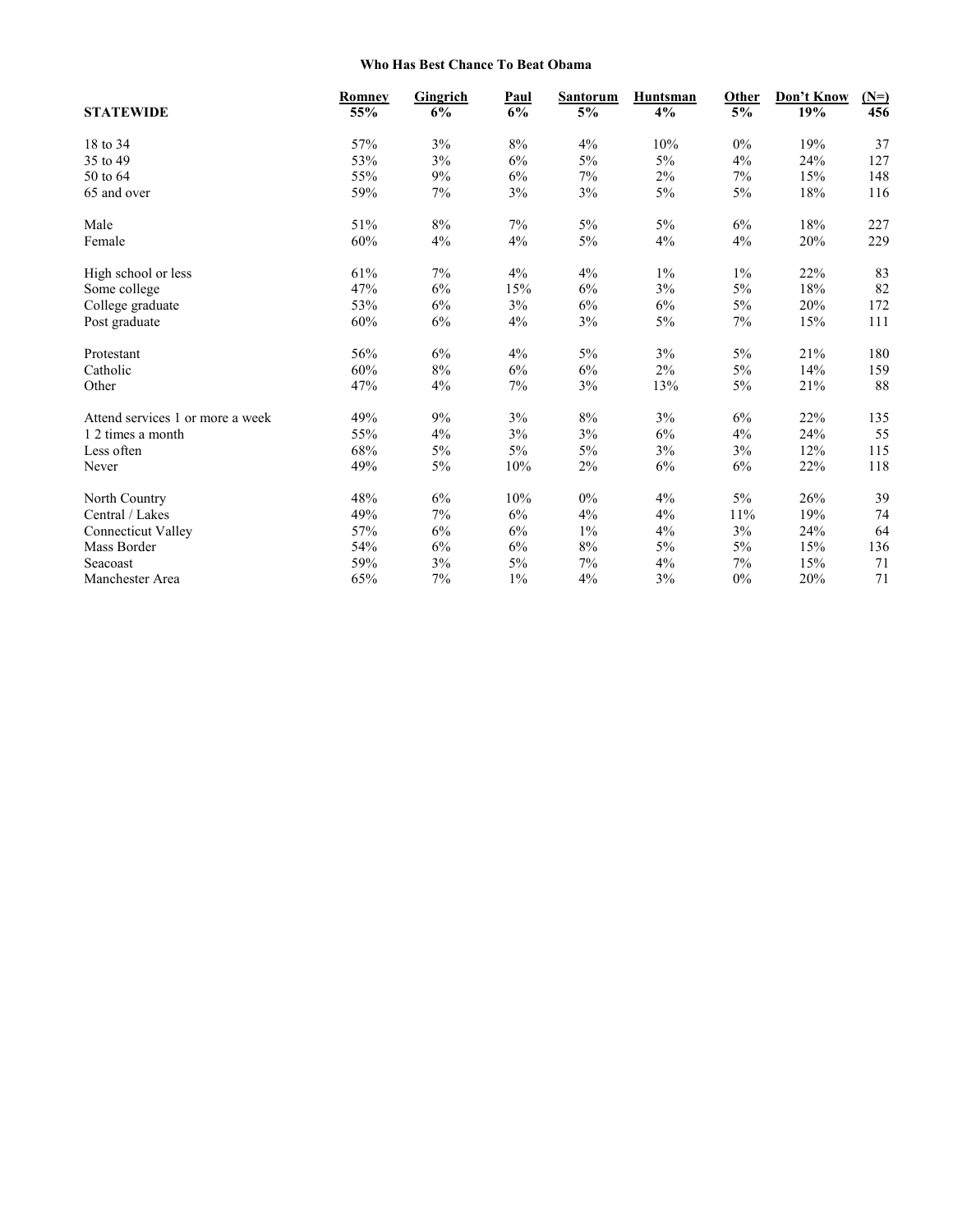## **Who Has Best Chance To Beat Obama**

| <b>STATEWIDE</b>                 | Romney | <b>Gingrich</b><br>6% | Paul<br>6% | <b>Santorum</b> | <b>Huntsman</b><br>4% | Other<br>5% | Don't Know<br>19% | $(N=)$<br>456 |
|----------------------------------|--------|-----------------------|------------|-----------------|-----------------------|-------------|-------------------|---------------|
|                                  | 55%    |                       |            | 5%              |                       |             |                   |               |
| 18 to 34                         | 57%    | 3%                    | $8\%$      | 4%              | 10%                   | $0\%$       | 19%               | 37            |
| 35 to 49                         | 53%    | 3%                    | 6%         | 5%              | 5%                    | 4%          | 24%               | 127           |
| 50 to 64                         | 55%    | 9%                    | 6%         | 7%              | $2\%$                 | 7%          | 15%               | 148           |
| 65 and over                      | 59%    | 7%                    | $3\%$      | 3%              | $5\%$                 | $5\%$       | $18\%$            | 116           |
| Male                             | 51%    | 8%                    | 7%         | 5%              | 5%                    | 6%          | 18%               | 227           |
| Female                           | $60\%$ | 4%                    | $4\%$      | $5\%$           | $4\%$                 | 4%          | 20%               | 229           |
| High school or less              | 61%    | 7%                    | 4%         | 4%              | $1\%$                 | $1\%$       | 22%               | 83            |
| Some college                     | 47%    | 6%                    | 15%        | 6%              | 3%                    | 5%          | $18\%$            | 82            |
| College graduate                 | 53%    | 6%                    | $3\%$      | 6%              | 6%                    | 5%          | 20%               | 172           |
| Post graduate                    | $60\%$ | 6%                    | 4%         | 3%              | $5\%$                 | 7%          | 15%               | 111           |
| Protestant                       | 56%    | 6%                    | 4%         | $5\%$           | 3%                    | $5\%$       | 21%               | 180           |
| Catholic                         | 60%    | 8%                    | 6%         | 6%              | 2%                    | 5%          | 14%               | 159           |
| Other                            | 47%    | 4%                    | $7\%$      | $3\%$           | 13%                   | $5\%$       | 21%               | 88            |
| Attend services 1 or more a week | 49%    | 9%                    | 3%         | 8%              | 3%                    | 6%          | 22%               | 135           |
| 1 2 times a month                | 55%    | 4%                    | $3\%$      | $3\%$           | $6\%$                 | 4%          | 24%               | 55            |
| Less often                       | 68%    | 5%                    | 5%         | 5%              | 3%                    | 3%          | 12%               | 115           |
| Never                            | 49%    | $5\%$                 | $10\%$     | $2\%$           | $6\%$                 | 6%          | 22%               | 118           |
| North Country                    | 48%    | 6%                    | 10%        | $0\%$           | 4%                    | 5%          | 26%               | 39            |
| Central / Lakes                  | 49%    | 7%                    | 6%         | 4%              | $4\%$                 | 11%         | 19%               | 74            |
| <b>Connecticut Valley</b>        | 57%    | 6%                    | 6%         | $1\%$           | 4%                    | 3%          | 24%               | 64            |
| Mass Border                      | 54%    | $6\%$                 | $6\%$      | $8\%$           | $5\%$                 | $5\%$       | 15%               | 136           |
| Seacoast                         | 59%    | 3%                    | $5\%$      | 7%              | 4%                    | 7%          | 15%               | 71            |
| Manchester Area                  | 65%    | 7%                    | $1\%$      | 4%              | 3%                    | 0%          | 20%               | 71            |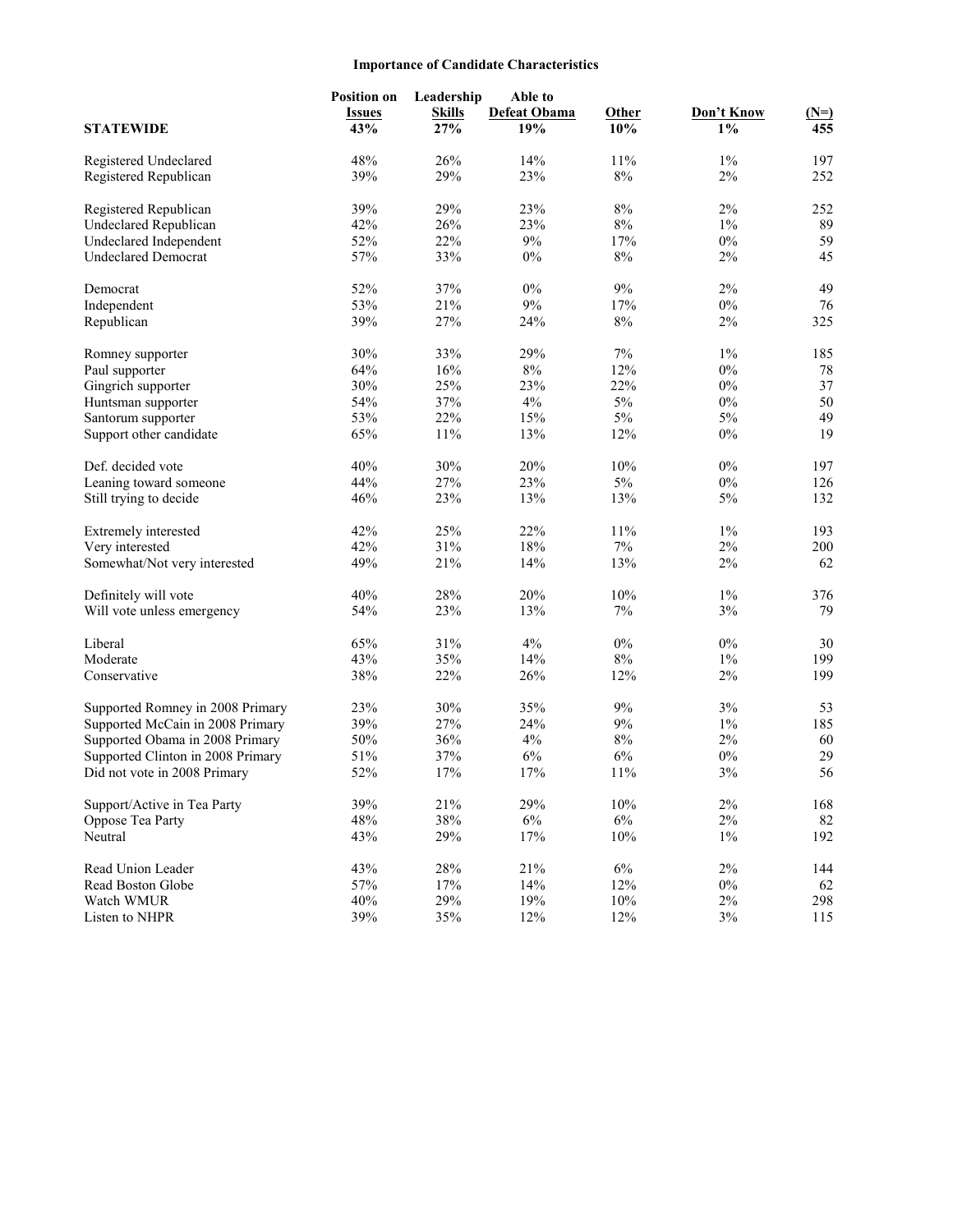## **Importance of Candidate Characteristics**

|                                   | <b>Position on</b><br><b>Issues</b> | Leadership<br><b>Skills</b> | Able to<br><b>Defeat Obama</b> | <b>Other</b> | Don't Know | $(N=)$ |
|-----------------------------------|-------------------------------------|-----------------------------|--------------------------------|--------------|------------|--------|
| <b>STATEWIDE</b>                  | 43%                                 | 27%                         | 19%                            | 10%          | $1\%$      | 455    |
| Registered Undeclared             | 48%                                 | 26%                         | 14%                            | 11%          | $1\%$      | 197    |
| Registered Republican             | 39%                                 | 29%                         | 23%                            | $8\%$        | 2%         | 252    |
| Registered Republican             | 39%                                 | 29%                         | 23%                            | 8%           | 2%         | 252    |
| <b>Undeclared Republican</b>      | 42%                                 | 26%                         | 23%                            | $8\%$        | $1\%$      | 89     |
| Undeclared Independent            | 52%                                 | 22%                         | 9%                             | 17%          | $0\%$      | 59     |
| <b>Undeclared Democrat</b>        | 57%                                 | 33%                         | $0\%$                          | 8%           | 2%         | 45     |
| Democrat                          | 52%                                 | 37%                         | 0%                             | 9%           | 2%         | 49     |
| Independent                       | 53%                                 | 21%                         | $9\%$                          | 17%          | $0\%$      | 76     |
| Republican                        | 39%                                 | 27%                         | 24%                            | $8\%$        | 2%         | 325    |
| Romney supporter                  | 30%                                 | 33%                         | 29%                            | 7%           | $1\%$      | 185    |
| Paul supporter                    | 64%                                 | 16%                         | $8\%$                          | 12%          | $0\%$      | 78     |
| Gingrich supporter                | 30%                                 | 25%                         | 23%                            | 22%          | $0\%$      | 37     |
| Huntsman supporter                | 54%                                 | 37%                         | $4\%$                          | 5%           | $0\%$      | 50     |
| Santorum supporter                | 53%                                 | 22%                         | 15%                            | 5%           | 5%         | 49     |
| Support other candidate           | 65%                                 | 11%                         | 13%                            | 12%          | $0\%$      | 19     |
| Def. decided vote                 | 40%                                 | 30%                         | 20%                            | 10%          | 0%         | 197    |
| Leaning toward someone            | 44%                                 | 27%                         | 23%                            | $5\%$        | $0\%$      | 126    |
| Still trying to decide            | 46%                                 | 23%                         | 13%                            | 13%          | 5%         | 132    |
| Extremely interested              | 42%                                 | 25%                         | 22%                            | 11%          | $1\%$      | 193    |
| Very interested                   | 42%                                 | 31%                         | 18%                            | $7\%$        | 2%         | 200    |
| Somewhat/Not very interested      | 49%                                 | 21%                         | 14%                            | 13%          | 2%         | 62     |
| Definitely will vote              | 40%                                 | 28%                         | 20%                            | 10%          | 1%         | 376    |
| Will vote unless emergency        | 54%                                 | 23%                         | 13%                            | 7%           | 3%         | 79     |
| Liberal                           | 65%                                 | 31%                         | 4%                             | $0\%$        | $0\%$      | 30     |
| Moderate                          | 43%                                 | 35%                         | 14%                            | $8\%$        | $1\%$      | 199    |
| Conservative                      | 38%                                 | 22%                         | 26%                            | 12%          | $2\%$      | 199    |
| Supported Romney in 2008 Primary  | 23%                                 | 30%                         | 35%                            | 9%           | 3%         | 53     |
| Supported McCain in 2008 Primary  | 39%                                 | 27%                         | 24%                            | 9%           | 1%         | 185    |
| Supported Obama in 2008 Primary   | 50%                                 | 36%                         | 4%                             | 8%           | $2\%$      | 60     |
| Supported Clinton in 2008 Primary | 51%                                 | 37%                         | 6%                             | 6%           | $0\%$      | 29     |
| Did not vote in 2008 Primary      | 52%                                 | 17%                         | 17%                            | 11%          | 3%         | 56     |
| Support/Active in Tea Party       | 39%                                 | 21%                         | 29%                            | 10%          | $2\%$      | 168    |
| Oppose Tea Party                  | 48%                                 | 38%                         | $6\%$                          | 6%           | $2\%$      | 82     |
| Neutral                           | 43%                                 | 29%                         | 17%                            | 10%          | $1\%$      | 192    |
| Read Union Leader                 | 43%                                 | 28%                         | 21%                            | $6\%$        | $2\%$      | 144    |
| Read Boston Globe                 | 57%                                 | 17%                         | 14%                            | 12%          | $0\%$      | 62     |
| Watch WMUR                        | 40%                                 | 29%                         | 19%                            | 10%          | $2\%$      | 298    |
| Listen to NHPR                    | 39%                                 | 35%                         | 12%                            | 12%          | $3\%$      | 115    |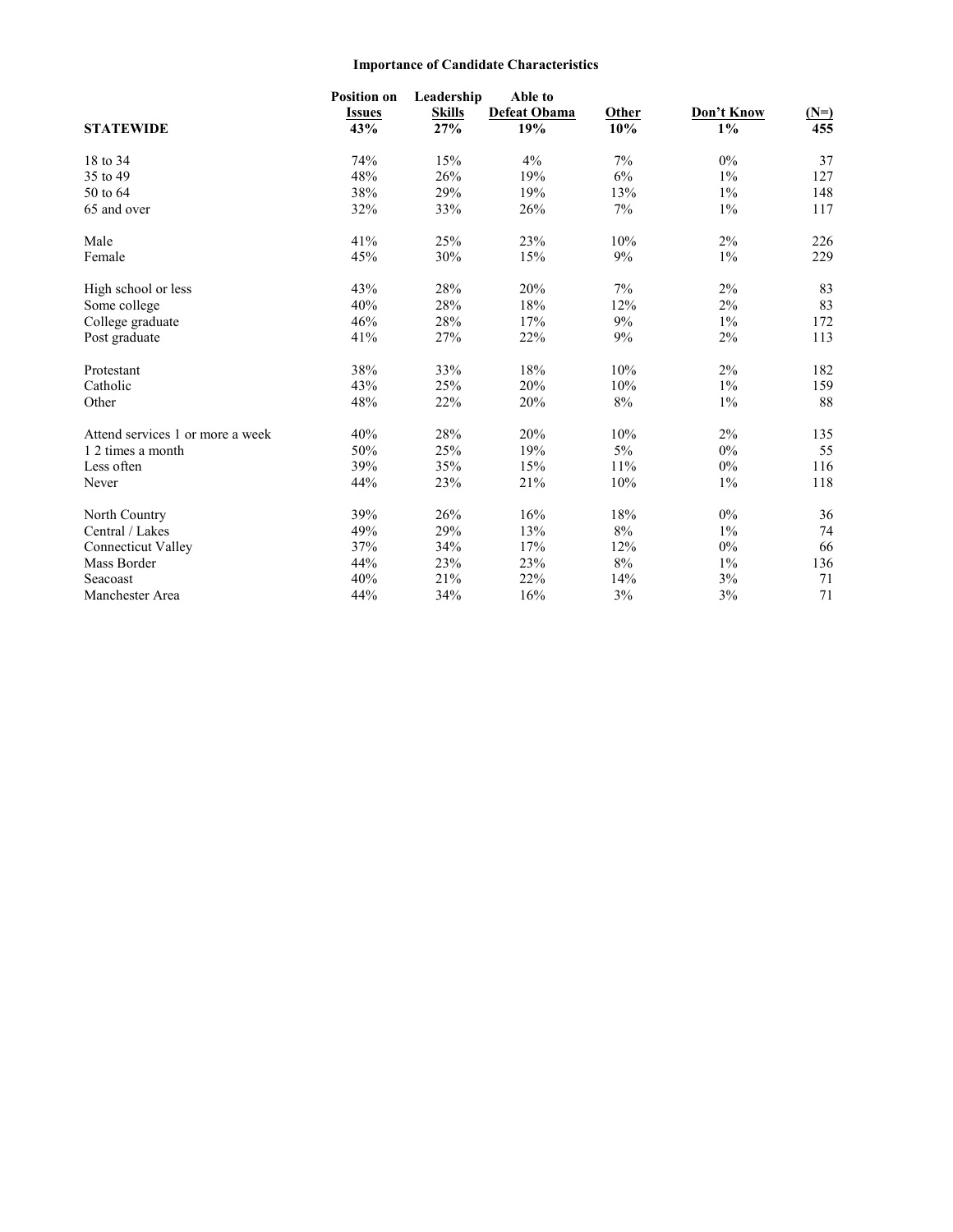## **Importance of Candidate Characteristics**

| <b>STATEWIDE</b>                 | <b>Position on</b><br><b>Issues</b><br>43% | Leadership<br><b>Skills</b><br>27% | Able to<br>Defeat Obama<br>19% | Other<br>10% | Don't Know<br>$1\%$ | $(N=)$<br>455 |
|----------------------------------|--------------------------------------------|------------------------------------|--------------------------------|--------------|---------------------|---------------|
| 18 to 34                         | 74%                                        | 15%                                | 4%                             | 7%           | $0\%$               | 37            |
| 35 to 49                         | 48%                                        | 26%                                | 19%                            | 6%           | $1\%$               | 127           |
| 50 to 64                         | 38%                                        | 29%                                | 19%                            | 13%          | $1\%$               | 148           |
| 65 and over                      | 32%                                        | 33%                                | 26%                            | 7%           | $1\%$               | 117           |
| Male                             | 41%                                        | 25%                                | 23%                            | 10%          | 2%                  | 226           |
| Female                           | 45%                                        | 30%                                | 15%                            | 9%           | $1\%$               | 229           |
| High school or less              | 43%                                        | 28%                                | 20%                            | 7%           | 2%                  | 83            |
| Some college                     | 40%                                        | 28%                                | 18%                            | 12%          | 2%                  | 83            |
| College graduate                 | 46%                                        | 28%                                | 17%                            | 9%           | $1\%$               | 172           |
| Post graduate                    | 41%                                        | 27%                                | 22%                            | 9%           | 2%                  | 113           |
| Protestant                       | 38%                                        | 33%                                | 18%                            | 10%          | 2%                  | 182           |
| Catholic                         | 43%                                        | 25%                                | 20%                            | 10%          | $1\%$               | 159           |
| Other                            | 48%                                        | 22%                                | 20%                            | $8\%$        | $1\%$               | 88            |
| Attend services 1 or more a week | 40%                                        | 28%                                | 20%                            | 10%          | 2%                  | 135           |
| 1 2 times a month                | 50%                                        | 25%                                | 19%                            | 5%           | $0\%$               | 55            |
| Less often                       | 39%                                        | 35%                                | 15%                            | 11%          | $0\%$               | 116           |
| Never                            | 44%                                        | 23%                                | 21%                            | 10%          | $1\%$               | 118           |
| North Country                    | 39%                                        | 26%                                | 16%                            | 18%          | $0\%$               | 36            |
| Central / Lakes                  | 49%                                        | 29%                                | 13%                            | $8\%$        | $1\%$               | 74            |
| <b>Connecticut Valley</b>        | 37%                                        | 34%                                | 17%                            | 12%          | $0\%$               | 66            |
| Mass Border                      | 44%                                        | 23%                                | 23%                            | $8\%$        | $1\%$               | 136           |
| Seacoast                         | 40%                                        | 21%                                | 22%                            | 14%          | 3%                  | 71            |
| Manchester Area                  | 44%                                        | 34%                                | 16%                            | 3%           | 3%                  | 71            |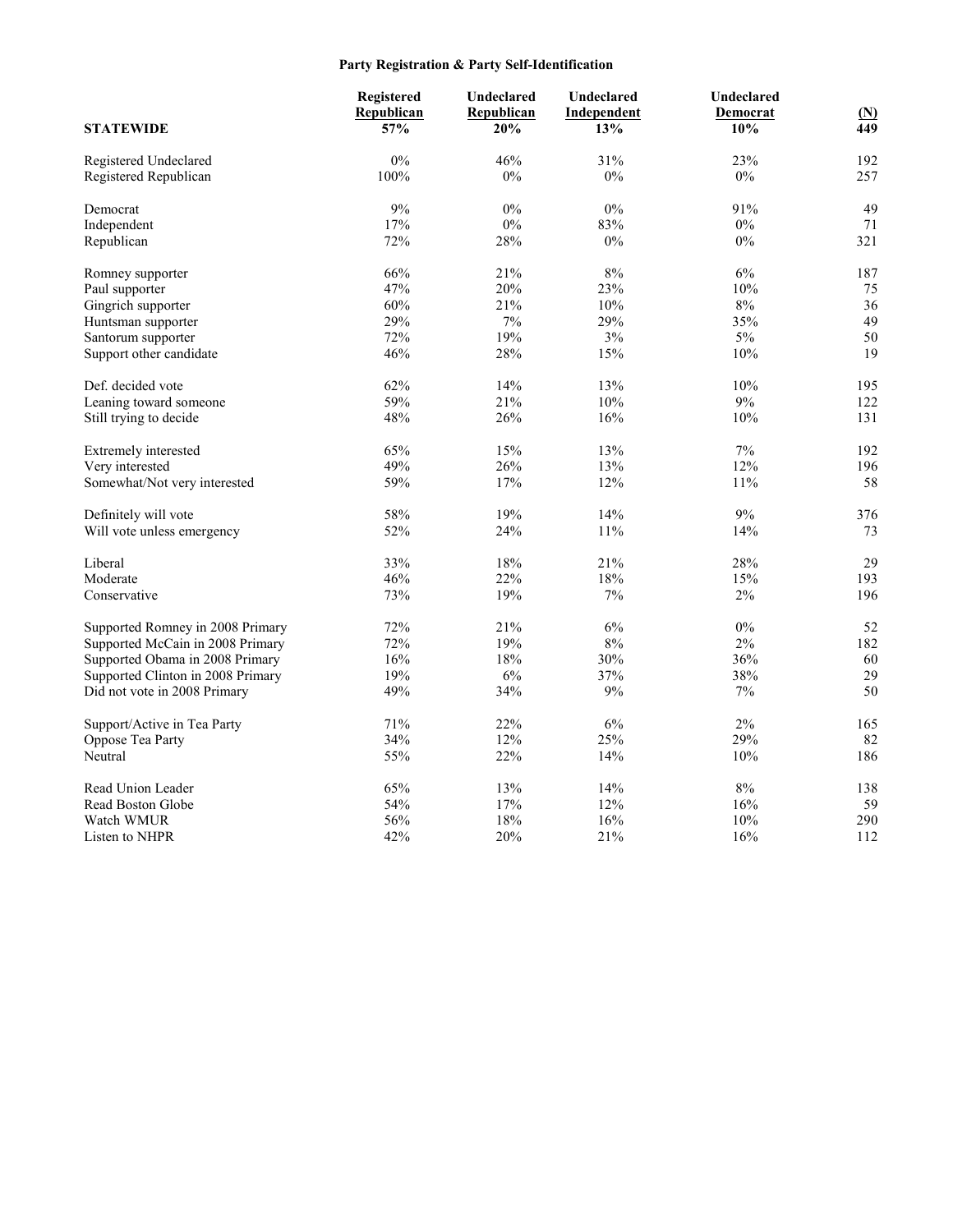## **Party Registration & Party Self-Identification**

|                                   | Registered<br>Republican | Undeclared<br>Republican | Undeclared<br>Independent | Undeclared<br>Democrat | $(\underline{N})$ |
|-----------------------------------|--------------------------|--------------------------|---------------------------|------------------------|-------------------|
| <b>STATEWIDE</b>                  | 57%                      | 20%                      | 13%                       | 10%                    | 449               |
| Registered Undeclared             | 0%                       | 46%                      | 31%                       | 23%                    | 192               |
| Registered Republican             | 100%                     | 0%                       | 0%                        | $0\%$                  | 257               |
| Democrat                          | 9%                       | 0%                       | $0\%$                     | 91%                    | 49                |
| Independent                       | 17%                      | $0\%$                    | 83%                       | $0\%$                  | 71                |
| Republican                        | 72%                      | 28%                      | 0%                        | $0\%$                  | 321               |
| Romney supporter                  | 66%                      | 21%                      | 8%                        | 6%                     | 187               |
| Paul supporter                    | 47%                      | 20%                      | 23%                       | 10%                    | 75                |
| Gingrich supporter                | 60%                      | 21%                      | 10%                       | 8%                     | 36                |
| Huntsman supporter                | 29%                      | 7%                       | 29%                       | 35%                    | 49                |
| Santorum supporter                | 72%                      | 19%                      | 3%                        | $5\%$                  | 50                |
| Support other candidate           | 46%                      | 28%                      | 15%                       | 10%                    | 19                |
| Def. decided vote                 | 62%                      | 14%                      | 13%                       | 10%                    | 195               |
| Leaning toward someone            | 59%                      | 21%                      | 10%                       | 9%                     | 122               |
| Still trying to decide            | 48%                      | 26%                      | 16%                       | 10%                    | 131               |
| Extremely interested              | 65%                      | 15%                      | 13%                       | 7%                     | 192               |
| Very interested                   | 49%                      | 26%                      | 13%                       | 12%                    | 196               |
| Somewhat/Not very interested      | 59%                      | 17%                      | 12%                       | 11%                    | 58                |
| Definitely will vote              | 58%                      | 19%                      | 14%                       | 9%                     | 376               |
| Will vote unless emergency        | 52%                      | 24%                      | 11%                       | 14%                    | 73                |
| Liberal                           | 33%                      | 18%                      | 21%                       | 28%                    | 29                |
| Moderate                          | 46%                      | 22%                      | 18%                       | 15%                    | 193               |
| Conservative                      | 73%                      | 19%                      | 7%                        | $2\%$                  | 196               |
| Supported Romney in 2008 Primary  | 72%                      | 21%                      | 6%                        | $0\%$                  | 52                |
| Supported McCain in 2008 Primary  | 72%                      | 19%                      | 8%                        | 2%                     | 182               |
| Supported Obama in 2008 Primary   | 16%                      | 18%                      | 30%                       | 36%                    | 60                |
| Supported Clinton in 2008 Primary | 19%                      | 6%                       | 37%                       | 38%                    | 29                |
| Did not vote in 2008 Primary      | 49%                      | 34%                      | 9%                        | 7%                     | 50                |
| Support/Active in Tea Party       | 71%                      | 22%                      | 6%                        | 2%                     | 165               |
| Oppose Tea Party                  | 34%                      | 12%                      | 25%                       | 29%                    | 82                |
| Neutral                           | 55%                      | 22%                      | 14%                       | 10%                    | 186               |
| Read Union Leader                 | 65%                      | 13%                      | 14%                       | 8%                     | 138               |
| Read Boston Globe                 | 54%                      | 17%                      | 12%                       | 16%                    | 59                |
| Watch WMUR                        | 56%                      | 18%                      | 16%                       | 10%                    | 290               |
| Listen to NHPR                    | 42%                      | 20%                      | 21%                       | 16%                    | 112               |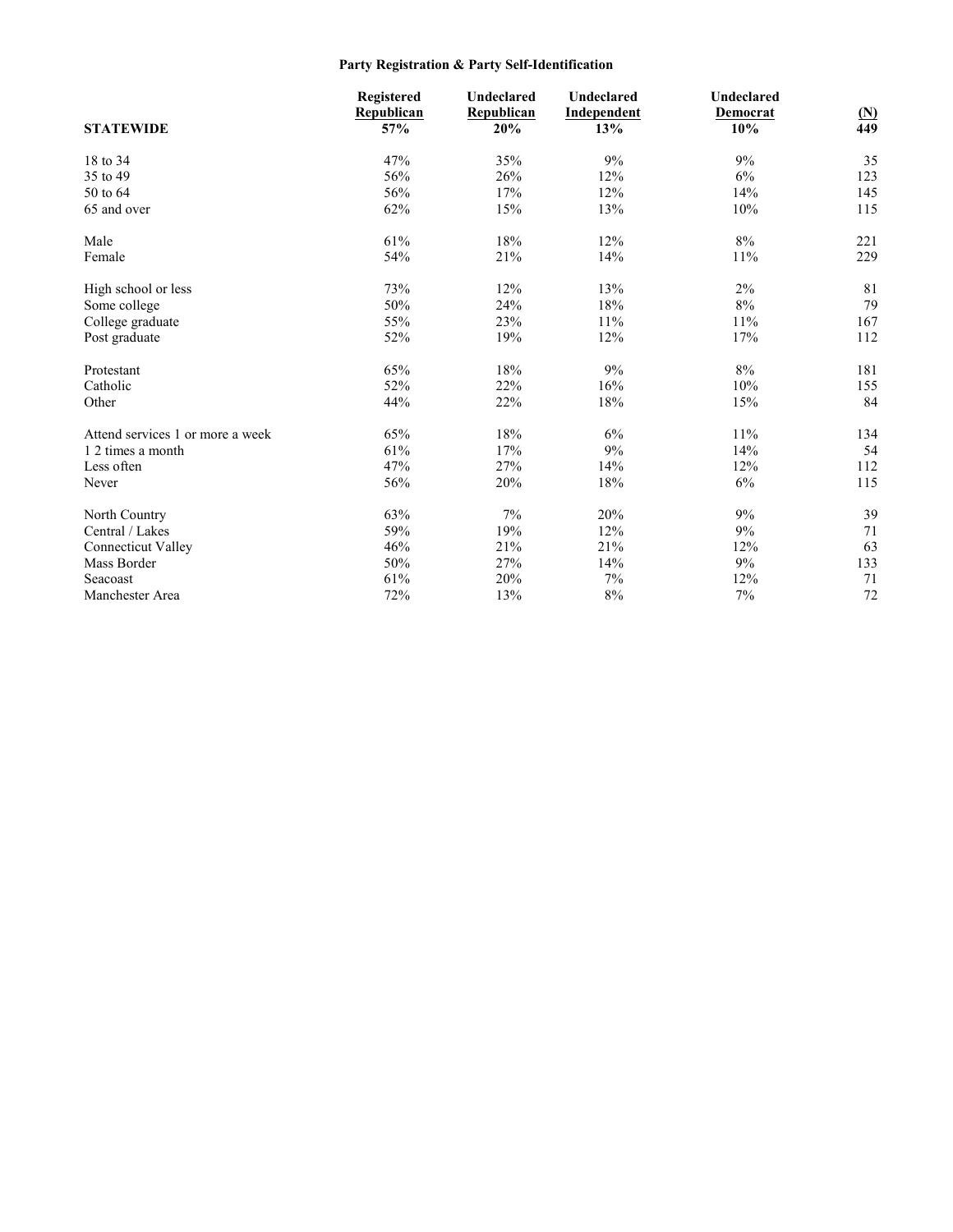## **Party Registration & Party Self-Identification**

|                                  | <b>Registered</b> | Undeclared | Undeclared  | Undeclared |              |
|----------------------------------|-------------------|------------|-------------|------------|--------------|
|                                  | Republican        | Republican | Independent | Democrat   | $\mathbf{M}$ |
| <b>STATEWIDE</b>                 | 57%               | 20%        | 13%         | 10%        | 449          |
| 18 to 34                         | 47%               | 35%        | 9%          | 9%         | 35           |
| 35 to 49                         | 56%               | 26%        | 12%         | 6%         | 123          |
| 50 to 64                         | 56%               | 17%        | 12%         | 14%        | 145          |
| 65 and over                      | 62%               | 15%        | 13%         | 10%        | 115          |
| Male                             | 61%               | 18%        | 12%         | 8%         | 221          |
| Female                           | 54%               | 21%        | 14%         | 11%        | 229          |
| High school or less              | 73%               | 12%        | 13%         | 2%         | 81           |
| Some college                     | 50%               | 24%        | 18%         | $8\%$      | 79           |
| College graduate                 | 55%               | 23%        | 11%         | 11%        | 167          |
| Post graduate                    | 52%               | 19%        | 12%         | 17%        | 112          |
| Protestant                       | 65%               | 18%        | 9%          | 8%         | 181          |
| Catholic                         | 52%               | 22%        | 16%         | 10%        | 155          |
| Other                            | 44%               | 22%        | 18%         | 15%        | 84           |
| Attend services 1 or more a week | 65%               | 18%        | 6%          | 11%        | 134          |
| 1 2 times a month                | 61%               | 17%        | 9%          | 14%        | 54           |
| Less often                       | 47%               | 27%        | 14%         | 12%        | 112          |
| Never                            | 56%               | 20%        | 18%         | 6%         | 115          |
| North Country                    | 63%               | 7%         | 20%         | 9%         | 39           |
| Central / Lakes                  | 59%               | 19%        | 12%         | 9%         | 71           |
| <b>Connecticut Valley</b>        | 46%               | 21%        | 21%         | 12%        | 63           |
| Mass Border                      | 50%               | 27%        | 14%         | 9%         | 133          |
| Seacoast                         | 61%               | 20%        | 7%          | 12%        | 71           |
| Manchester Area                  | 72%               | 13%        | $8\%$       | 7%         | 72           |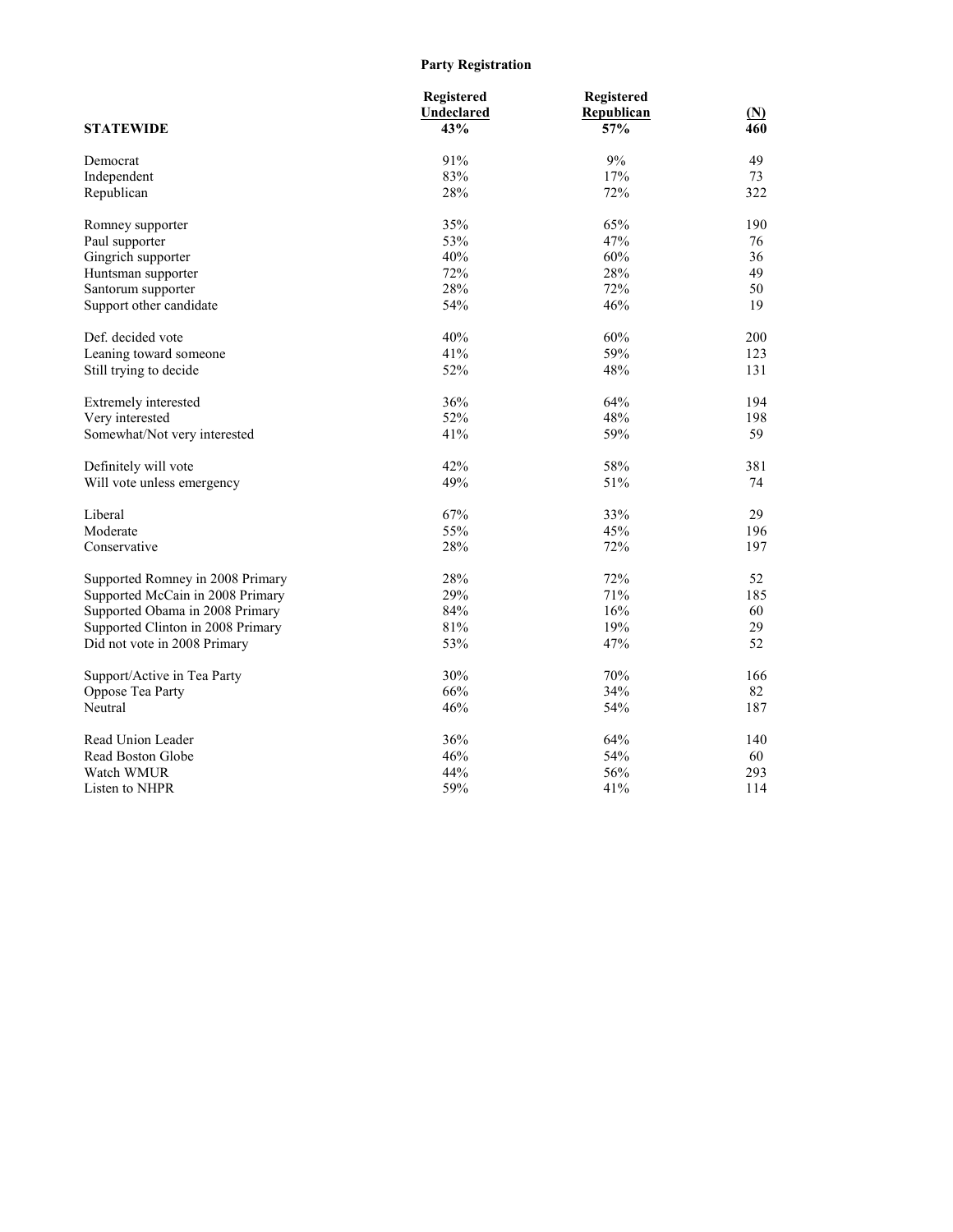## **Party Registration**

| <b>STATEWIDE</b>                  | Registered<br>Undeclared<br>43% | Registered<br>Republican<br>57% | <u>(N)</u><br>460 |
|-----------------------------------|---------------------------------|---------------------------------|-------------------|
| Democrat                          | 91%                             | 9%                              | 49                |
| Independent                       | 83%                             | 17%                             | 73                |
| Republican                        | 28%                             | 72%                             | 322               |
| Romney supporter                  | 35%                             | 65%                             | 190               |
| Paul supporter                    | 53%                             | 47%                             | 76                |
| Gingrich supporter                | 40%                             | 60%                             | 36                |
| Huntsman supporter                | 72%                             | 28%                             | 49                |
| Santorum supporter                | 28%                             | 72%                             | 50                |
| Support other candidate           | 54%                             | 46%                             | 19                |
| Def. decided vote                 | 40%                             | 60%                             | 200               |
| Leaning toward someone            | 41%                             | 59%                             | 123               |
| Still trying to decide            | 52%                             | 48%                             | 131               |
| Extremely interested              | 36%                             | 64%                             | 194               |
| Very interested                   | 52%                             | 48%                             | 198               |
| Somewhat/Not very interested      | 41%                             | 59%                             | 59                |
| Definitely will vote              | 42%                             | 58%                             | 381               |
| Will vote unless emergency        | 49%                             | 51%                             | 74                |
| Liberal                           | 67%                             | 33%                             | 29                |
| Moderate                          | 55%                             | 45%                             | 196               |
| Conservative                      | 28%                             | 72%                             | 197               |
| Supported Romney in 2008 Primary  | 28%                             | 72%                             | 52                |
| Supported McCain in 2008 Primary  | 29%                             | 71%                             | 185               |
| Supported Obama in 2008 Primary   | 84%                             | 16%                             | 60                |
| Supported Clinton in 2008 Primary | 81%                             | 19%                             | 29                |
| Did not vote in 2008 Primary      | 53%                             | 47%                             | 52                |
| Support/Active in Tea Party       | 30%                             | 70%                             | 166               |
| Oppose Tea Party                  | 66%                             | 34%                             | 82                |
| Neutral                           | 46%                             | 54%                             | 187               |
| Read Union Leader                 | 36%                             | 64%                             | 140               |
| Read Boston Globe                 | 46%                             | 54%                             | 60                |
| Watch WMUR                        | 44%                             | 56%                             | 293               |
| Listen to NHPR                    | 59%                             | 41%                             | 114               |